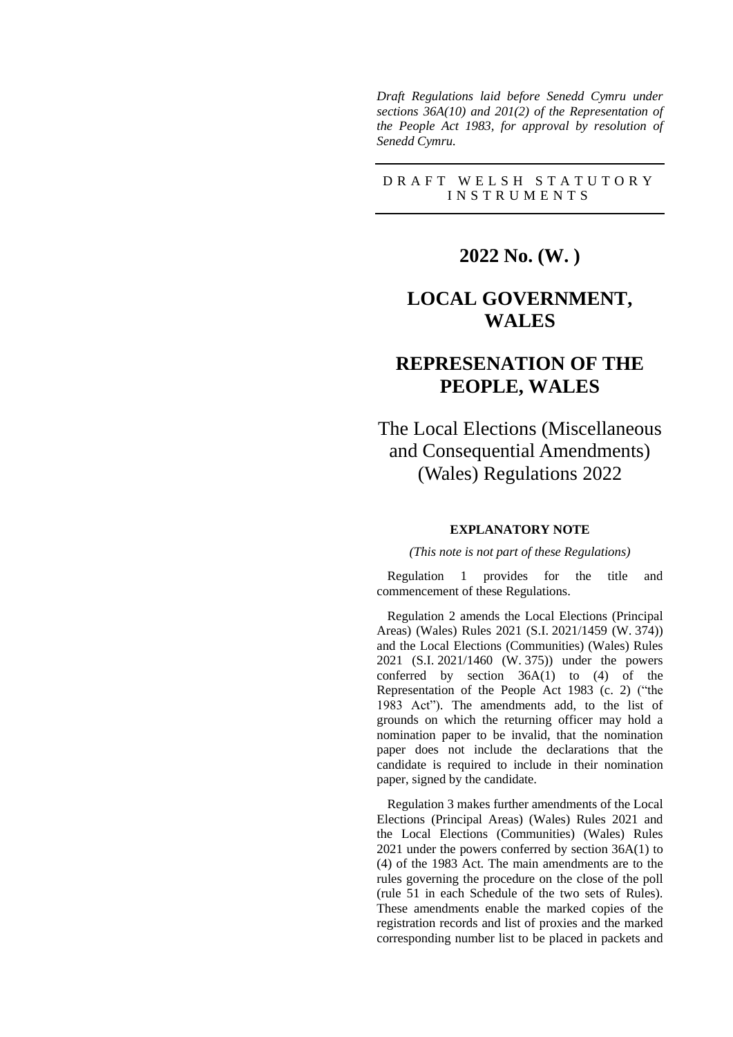*Draft Regulations laid before Senedd Cymru under sections 36A(10) and 201(2) of the Representation of the People Act 1983, for approval by resolution of Senedd Cymru.*

### D R A F T W E L S H S T A T U T O R Y I N S T R U M E N T S

# **2022 No. (W. )**

# **LOCAL GOVERNMENT, WALES**

# **REPRESENATION OF THE PEOPLE, WALES**

The Local Elections (Miscellaneous and Consequential Amendments) (Wales) Regulations 2022

#### **EXPLANATORY NOTE**

#### *(This note is not part of these Regulations)*

Regulation 1 provides for the title and commencement of these Regulations.

Regulation 2 amends the Local Elections (Principal Areas) (Wales) Rules 2021 (S.I. 2021/1459 (W. 374)) and the Local Elections (Communities) (Wales) Rules 2021 (S.I. 2021/1460 (W. 375)) under the powers conferred by section 36A(1) to (4) of the Representation of the People Act 1983 (c. 2) ("the 1983 Act"). The amendments add, to the list of grounds on which the returning officer may hold a nomination paper to be invalid, that the nomination paper does not include the declarations that the candidate is required to include in their nomination paper, signed by the candidate.

Regulation 3 makes further amendments of the Local Elections (Principal Areas) (Wales) Rules 2021 and the Local Elections (Communities) (Wales) Rules 2021 under the powers conferred by section 36A(1) to (4) of the 1983 Act. The main amendments are to the rules governing the procedure on the close of the poll (rule 51 in each Schedule of the two sets of Rules). These amendments enable the marked copies of the registration records and list of proxies and the marked corresponding number list to be placed in packets and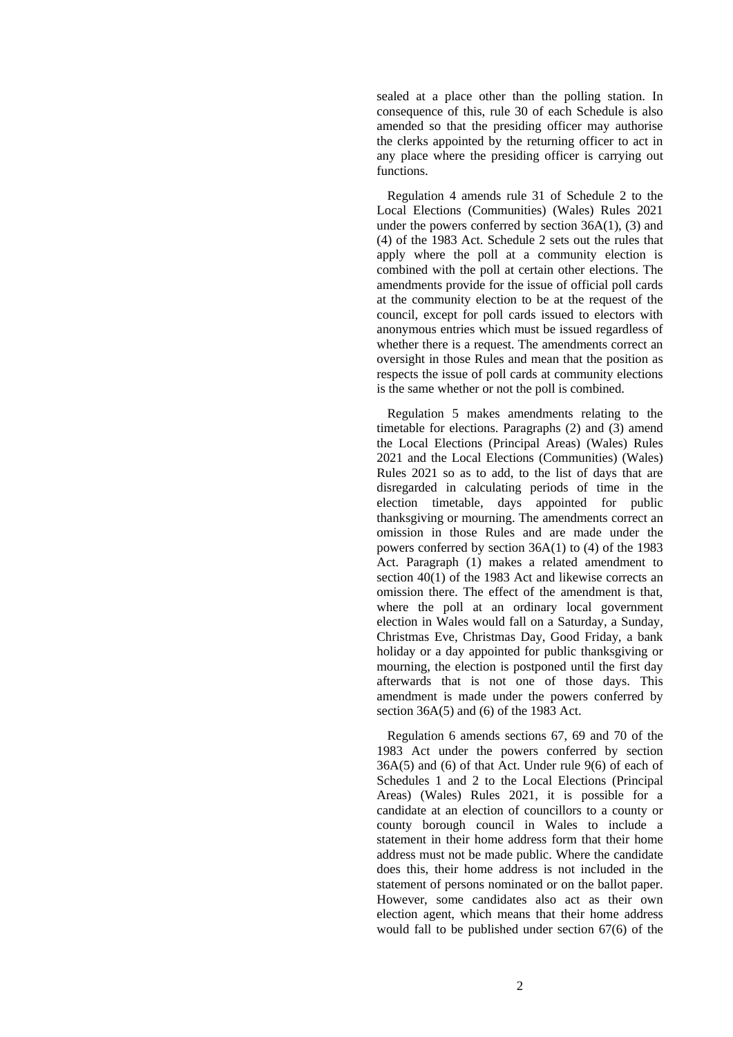sealed at a place other than the polling station. In consequence of this, rule 30 of each Schedule is also amended so that the presiding officer may authorise the clerks appointed by the returning officer to act in any place where the presiding officer is carrying out functions.

Regulation 4 amends rule 31 of Schedule 2 to the Local Elections (Communities) (Wales) Rules 2021 under the powers conferred by section 36A(1), (3) and (4) of the 1983 Act. Schedule 2 sets out the rules that apply where the poll at a community election is combined with the poll at certain other elections. The amendments provide for the issue of official poll cards at the community election to be at the request of the council, except for poll cards issued to electors with anonymous entries which must be issued regardless of whether there is a request. The amendments correct an oversight in those Rules and mean that the position as respects the issue of poll cards at community elections is the same whether or not the poll is combined.

Regulation 5 makes amendments relating to the timetable for elections. Paragraphs (2) and (3) amend the Local Elections (Principal Areas) (Wales) Rules 2021 and the Local Elections (Communities) (Wales) Rules 2021 so as to add, to the list of days that are disregarded in calculating periods of time in the election timetable, days appointed for public thanksgiving or mourning. The amendments correct an omission in those Rules and are made under the powers conferred by section 36A(1) to (4) of the 1983 Act. Paragraph (1) makes a related amendment to section 40(1) of the 1983 Act and likewise corrects an omission there. The effect of the amendment is that, where the poll at an ordinary local government election in Wales would fall on a Saturday, a Sunday, Christmas Eve, Christmas Day, Good Friday, a bank holiday or a day appointed for public thanksgiving or mourning, the election is postponed until the first day afterwards that is not one of those days. This amendment is made under the powers conferred by section 36A(5) and (6) of the 1983 Act.

Regulation 6 amends sections 67, 69 and 70 of the 1983 Act under the powers conferred by section 36A(5) and (6) of that Act. Under rule 9(6) of each of Schedules 1 and 2 to the Local Elections (Principal Areas) (Wales) Rules 2021, it is possible for a candidate at an election of councillors to a county or county borough council in Wales to include a statement in their home address form that their home address must not be made public. Where the candidate does this, their home address is not included in the statement of persons nominated or on the ballot paper. However, some candidates also act as their own election agent, which means that their home address would fall to be published under section 67(6) of the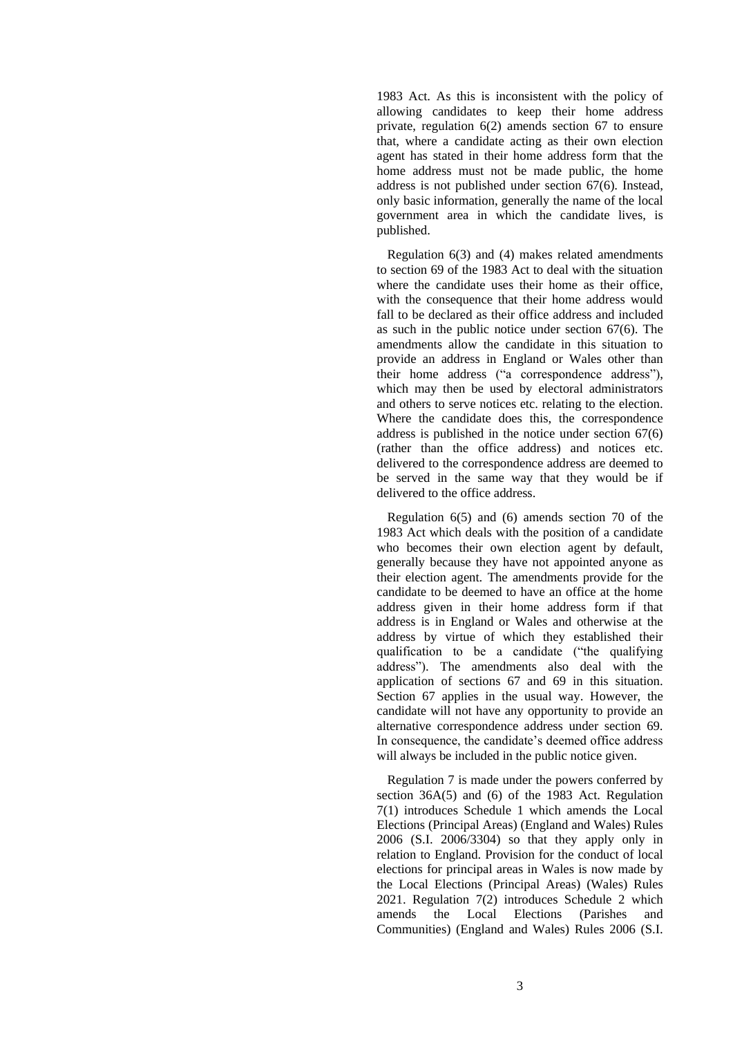1983 Act. As this is inconsistent with the policy of allowing candidates to keep their home address private, regulation 6(2) amends section 67 to ensure that, where a candidate acting as their own election agent has stated in their home address form that the home address must not be made public, the home address is not published under section 67(6). Instead, only basic information, generally the name of the local government area in which the candidate lives, is published.

Regulation 6(3) and (4) makes related amendments to section 69 of the 1983 Act to deal with the situation where the candidate uses their home as their office, with the consequence that their home address would fall to be declared as their office address and included as such in the public notice under section 67(6). The amendments allow the candidate in this situation to provide an address in England or Wales other than their home address ("a correspondence address"), which may then be used by electoral administrators and others to serve notices etc. relating to the election. Where the candidate does this, the correspondence address is published in the notice under section 67(6) (rather than the office address) and notices etc. delivered to the correspondence address are deemed to be served in the same way that they would be if delivered to the office address.

Regulation 6(5) and (6) amends section 70 of the 1983 Act which deals with the position of a candidate who becomes their own election agent by default, generally because they have not appointed anyone as their election agent. The amendments provide for the candidate to be deemed to have an office at the home address given in their home address form if that address is in England or Wales and otherwise at the address by virtue of which they established their qualification to be a candidate ("the qualifying address"). The amendments also deal with the application of sections 67 and 69 in this situation. Section 67 applies in the usual way. However, the candidate will not have any opportunity to provide an alternative correspondence address under section 69. In consequence, the candidate's deemed office address will always be included in the public notice given.

Regulation 7 is made under the powers conferred by section 36A(5) and (6) of the 1983 Act. Regulation 7(1) introduces Schedule 1 which amends the Local Elections (Principal Areas) (England and Wales) Rules 2006 (S.I. 2006/3304) so that they apply only in relation to England. Provision for the conduct of local elections for principal areas in Wales is now made by the Local Elections (Principal Areas) (Wales) Rules 2021. Regulation 7(2) introduces Schedule 2 which<br>amends the Local Elections (Parishes and amends the Local Elections (Parishes and Communities) (England and Wales) Rules 2006 (S.I.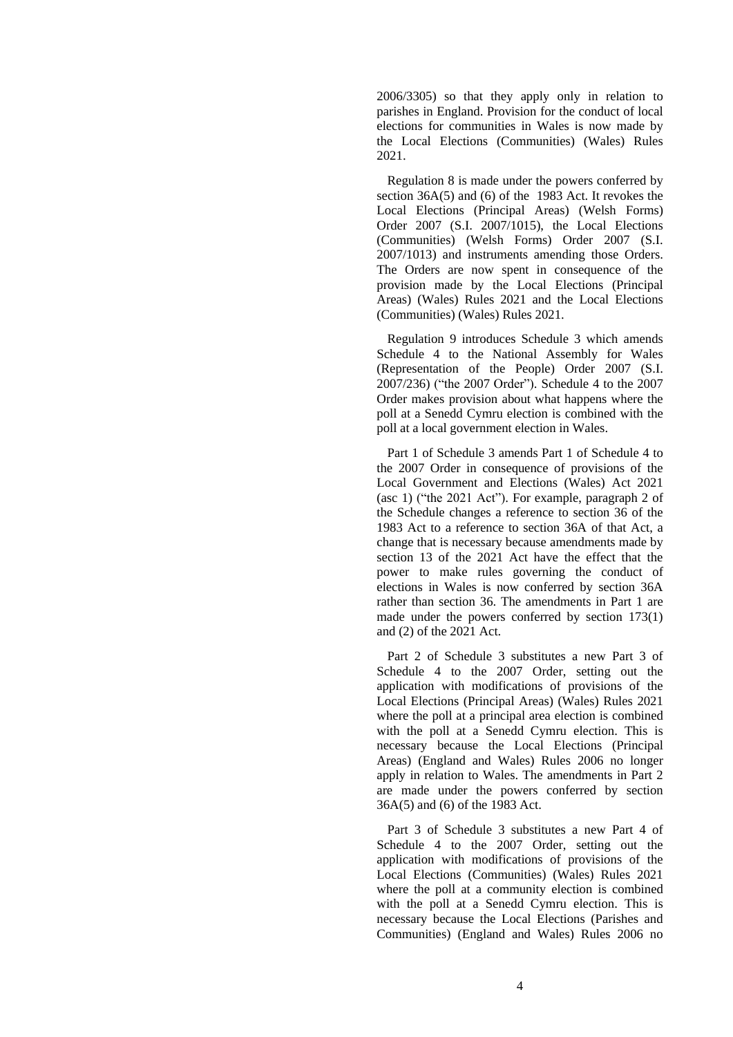2006/3305) so that they apply only in relation to parishes in England. Provision for the conduct of local elections for communities in Wales is now made by the Local Elections (Communities) (Wales) Rules 2021.

Regulation 8 is made under the powers conferred by section 36A(5) and (6) of the 1983 Act. It revokes the Local Elections (Principal Areas) (Welsh Forms) Order 2007 (S.I. 2007/1015), the Local Elections (Communities) (Welsh Forms) Order 2007 (S.I. 2007/1013) and instruments amending those Orders. The Orders are now spent in consequence of the provision made by the Local Elections (Principal Areas) (Wales) Rules 2021 and the Local Elections (Communities) (Wales) Rules 2021.

Regulation 9 introduces Schedule 3 which amends Schedule 4 to the National Assembly for Wales (Representation of the People) Order 2007 (S.I. 2007/236) ("the 2007 Order"). Schedule 4 to the 2007 Order makes provision about what happens where the poll at a Senedd Cymru election is combined with the poll at a local government election in Wales.

Part 1 of Schedule 3 amends Part 1 of Schedule 4 to the 2007 Order in consequence of provisions of the Local Government and Elections (Wales) Act 2021 (asc 1) ("the 2021 Act"). For example, paragraph 2 of the Schedule changes a reference to section 36 of the 1983 Act to a reference to section 36A of that Act, a change that is necessary because amendments made by section 13 of the 2021 Act have the effect that the power to make rules governing the conduct of elections in Wales is now conferred by section 36A rather than section 36. The amendments in Part 1 are made under the powers conferred by section 173(1) and (2) of the 2021 Act.

Part 2 of Schedule 3 substitutes a new Part 3 of Schedule 4 to the 2007 Order, setting out the application with modifications of provisions of the Local Elections (Principal Areas) (Wales) Rules 2021 where the poll at a principal area election is combined with the poll at a Senedd Cymru election. This is necessary because the Local Elections (Principal Areas) (England and Wales) Rules 2006 no longer apply in relation to Wales. The amendments in Part 2 are made under the powers conferred by section 36A(5) and (6) of the 1983 Act.

Part 3 of Schedule 3 substitutes a new Part 4 of Schedule 4 to the 2007 Order, setting out the application with modifications of provisions of the Local Elections (Communities) (Wales) Rules 2021 where the poll at a community election is combined with the poll at a Senedd Cymru election. This is necessary because the Local Elections (Parishes and Communities) (England and Wales) Rules 2006 no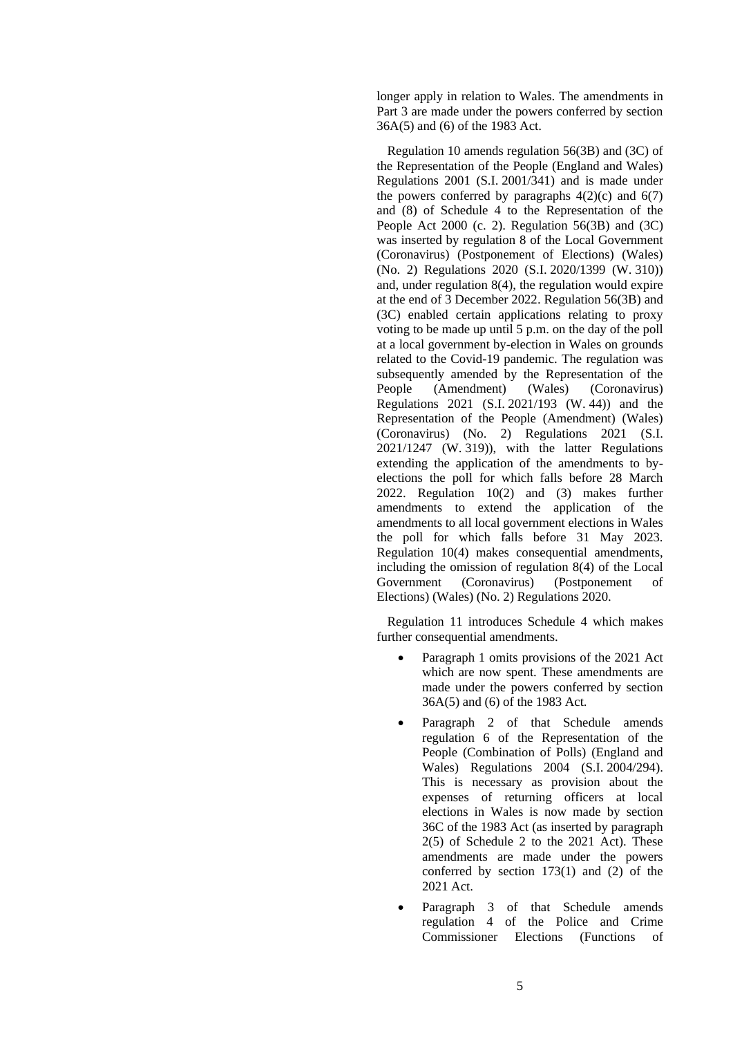longer apply in relation to Wales. The amendments in Part 3 are made under the powers conferred by section 36A(5) and (6) of the 1983 Act.

Regulation 10 amends regulation 56(3B) and (3C) of the Representation of the People (England and Wales) Regulations 2001 (S.I. 2001/341) and is made under the powers conferred by paragraphs  $4(2)(c)$  and  $6(7)$ and (8) of Schedule 4 to the Representation of the People Act 2000 (c. 2). Regulation 56(3B) and (3C) was inserted by regulation 8 of the Local Government (Coronavirus) (Postponement of Elections) (Wales) (No. 2) Regulations 2020 (S.I. 2020/1399 (W. 310)) and, under regulation 8(4), the regulation would expire at the end of 3 December 2022. Regulation 56(3B) and (3C) enabled certain applications relating to proxy voting to be made up until 5 p.m. on the day of the poll at a local government by-election in Wales on grounds related to the Covid-19 pandemic. The regulation was subsequently amended by the Representation of the People (Amendment) (Wales) (Coronavirus) Regulations 2021 (S.I. 2021/193 (W. 44)) and the Representation of the People (Amendment) (Wales) (Coronavirus) (No. 2) Regulations 2021 (S.I. 2021/1247 (W. 319)), with the latter Regulations extending the application of the amendments to byelections the poll for which falls before 28 March 2022. Regulation 10(2) and (3) makes further amendments to extend the application of the amendments to all local government elections in Wales the poll for which falls before 31 May 2023. Regulation 10(4) makes consequential amendments, including the omission of regulation 8(4) of the Local Government (Coronavirus) (Postponement of Elections) (Wales) (No. 2) Regulations 2020.

Regulation 11 introduces Schedule 4 which makes further consequential amendments.

- Paragraph 1 omits provisions of the 2021 Act which are now spent. These amendments are made under the powers conferred by section 36A(5) and (6) of the 1983 Act.
- Paragraph 2 of that Schedule amends regulation 6 of the Representation of the People (Combination of Polls) (England and Wales) Regulations 2004 (S.I. 2004/294). This is necessary as provision about the expenses of returning officers at local elections in Wales is now made by section 36C of the 1983 Act (as inserted by paragraph 2(5) of Schedule 2 to the 2021 Act). These amendments are made under the powers conferred by section 173(1) and (2) of the 2021 Act.
- Paragraph 3 of that Schedule amends regulation 4 of the Police and Crime Commissioner Elections (Functions of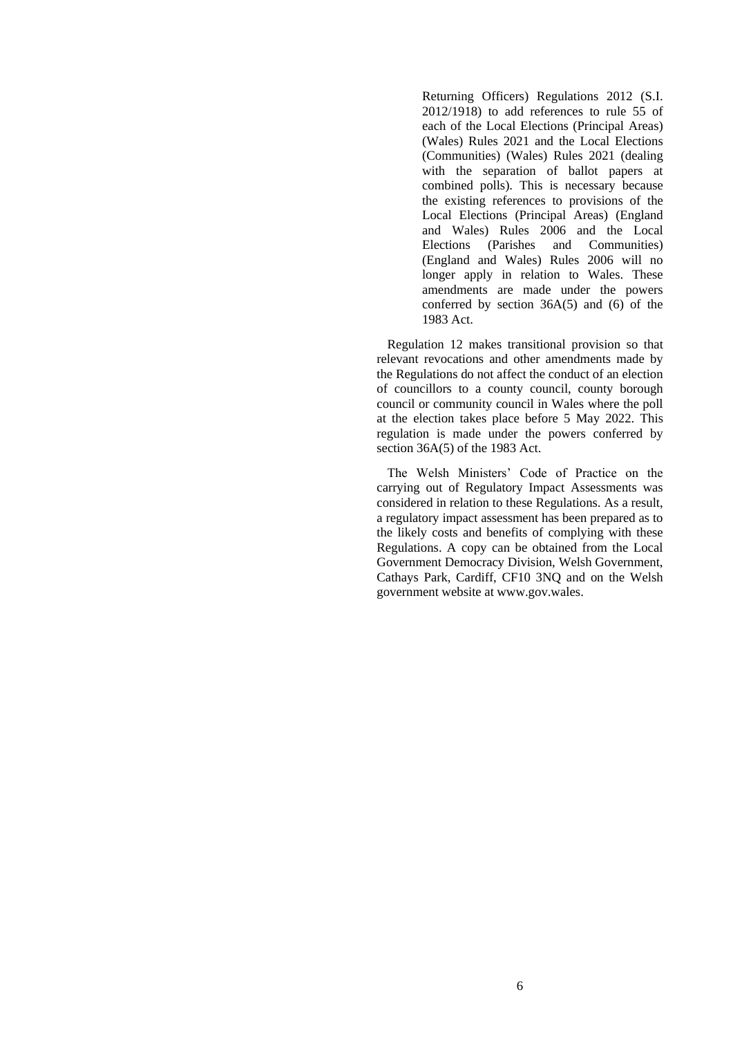Returning Officers) Regulations 2012 (S.I. 2012/1918) to add references to rule 55 of each of the Local Elections (Principal Areas) (Wales) Rules 2021 and the Local Elections (Communities) (Wales) Rules 2021 (dealing with the separation of ballot papers at combined polls). This is necessary because the existing references to provisions of the Local Elections (Principal Areas) (England and Wales) Rules 2006 and the Local Elections (Parishes and Communities) (England and Wales) Rules 2006 will no longer apply in relation to Wales. These amendments are made under the powers conferred by section 36A(5) and (6) of the 1983 Act.

Regulation 12 makes transitional provision so that relevant revocations and other amendments made by the Regulations do not affect the conduct of an election of councillors to a county council, county borough council or community council in Wales where the poll at the election takes place before 5 May 2022. This regulation is made under the powers conferred by section 36A(5) of the 1983 Act.

The Welsh Ministers' Code of Practice on the carrying out of Regulatory Impact Assessments was considered in relation to these Regulations. As a result, a regulatory impact assessment has been prepared as to the likely costs and benefits of complying with these Regulations. A copy can be obtained from the Local Government Democracy Division, Welsh Government, Cathays Park, Cardiff, CF10 3NQ and on the Welsh government website at [www.gov.wales.](http://www.gov.wales/)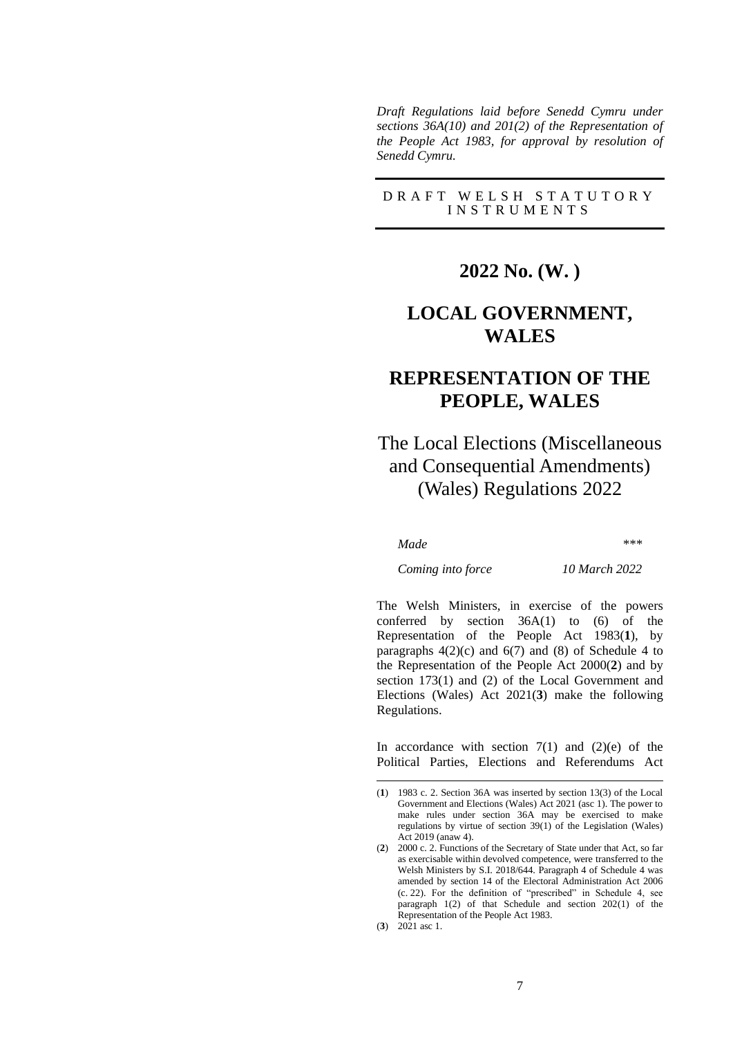*Draft Regulations laid before Senedd Cymru under sections 36A(10) and 201(2) of the Representation of the People Act 1983, for approval by resolution of Senedd Cymru.*

### D R A F T W E L S H S T A T U T O R Y I N S T R U M E N T S

## **2022 No. (W. )**

# **LOCAL GOVERNMENT, WALES**

# **REPRESENTATION OF THE PEOPLE, WALES**

# The Local Elections (Miscellaneous and Consequential Amendments) (Wales) Regulations 2022

*Made \*\*\**

*Coming into force 10 March 2022*

The Welsh Ministers, in exercise of the powers conferred by section  $36A(1)$  to  $(6)$  of the Representation of the People Act 1983(**1**), by paragraphs  $4(2)(c)$  and  $6(7)$  and  $(8)$  of Schedule 4 to the Representation of the People Act 2000(**2**) and by section 173(1) and (2) of the Local Government and Elections (Wales) Act 2021(**3**) make the following Regulations.

In accordance with section  $7(1)$  and  $(2)(e)$  of the Political Parties, Elections and Referendums Act

<sup>(</sup>**1**) 1983 c. 2. Section 36A was inserted by section 13(3) of the Local Government and Elections (Wales) Act 2021 (asc 1). The power to make rules under section 36A may be exercised to make regulations by virtue of section 39(1) of the Legislation (Wales) Act 2019 (anaw 4).

<sup>(</sup>**2**) 2000 c. 2. Functions of the Secretary of State under that Act, so far as exercisable within devolved competence, were transferred to the Welsh Ministers by S.I. 2018/644. Paragraph 4 of Schedule 4 was amended by section 14 of the Electoral Administration Act 2006 (c. 22). For the definition of "prescribed" in Schedule 4, see paragraph 1(2) of that Schedule and section 202(1) of the Representation of the People Act 1983. (**3**) 2021 asc 1.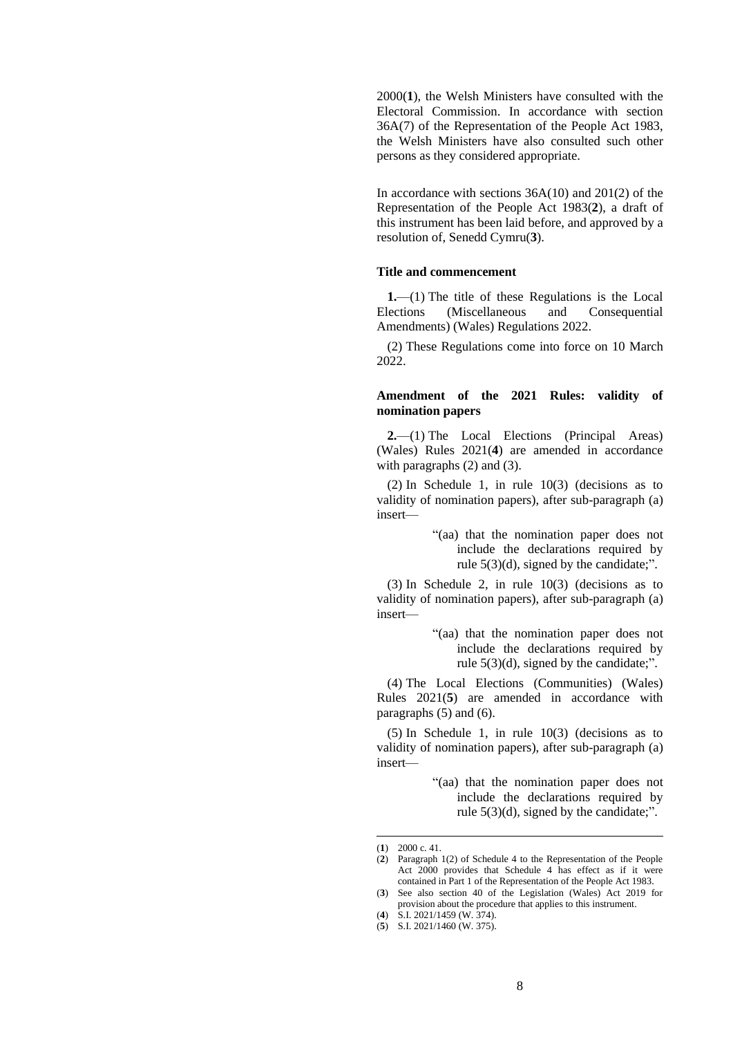2000(**1**), the Welsh Ministers have consulted with the Electoral Commission. In accordance with section 36A(7) of the Representation of the People Act 1983, the Welsh Ministers have also consulted such other persons as they considered appropriate.

In accordance with sections 36A(10) and 201(2) of the Representation of the People Act 1983(**2**), a draft of this instrument has been laid before, and approved by a resolution of, Senedd Cymru(**3**).

#### **Title and commencement**

**1.**—(1) The title of these Regulations is the Local Elections (Miscellaneous and Consequential Amendments) (Wales) Regulations 2022.

(2) These Regulations come into force on 10 March 2022.

#### **Amendment of the 2021 Rules: validity of nomination papers**

**2.**—(1) The Local Elections (Principal Areas) (Wales) Rules 2021(**4**) are amended in accordance with paragraphs (2) and (3).

(2) In Schedule 1, in rule 10(3) (decisions as to validity of nomination papers), after sub-paragraph (a) insert—

> "(aa) that the nomination paper does not include the declarations required by rule 5(3)(d), signed by the candidate;".

(3) In Schedule 2, in rule 10(3) (decisions as to validity of nomination papers), after sub-paragraph (a) insert—

> "(aa) that the nomination paper does not include the declarations required by rule  $5(3)(d)$ , signed by the candidate;".

(4) The Local Elections (Communities) (Wales) Rules 2021(**5**) are amended in accordance with paragraphs (5) and (6).

(5) In Schedule 1, in rule 10(3) (decisions as to validity of nomination papers), after sub-paragraph (a) insert—

> "(aa) that the nomination paper does not include the declarations required by rule  $5(3)(d)$ , signed by the candidate;".

<sup>(</sup>**1**) [2000 c. 41.](https://www.legislation.gov.uk/id/ukpga/2000/41) 

<sup>(</sup>**2**) Paragraph 1(2) of Schedule 4 to the Representation of the People Act 2000 provides that Schedule 4 has effect as if it were contained in Part 1 of the Representation of the People Act 1983.

<sup>(</sup>**3**) See also section 40 of the Legislation (Wales) Act 2019 for provision about the procedure that applies to this instrument.

<sup>(</sup>**4**) S.I. 2021/1459 (W. 374).

<sup>(</sup>**5**) S.I. 2021/1460 (W. 375).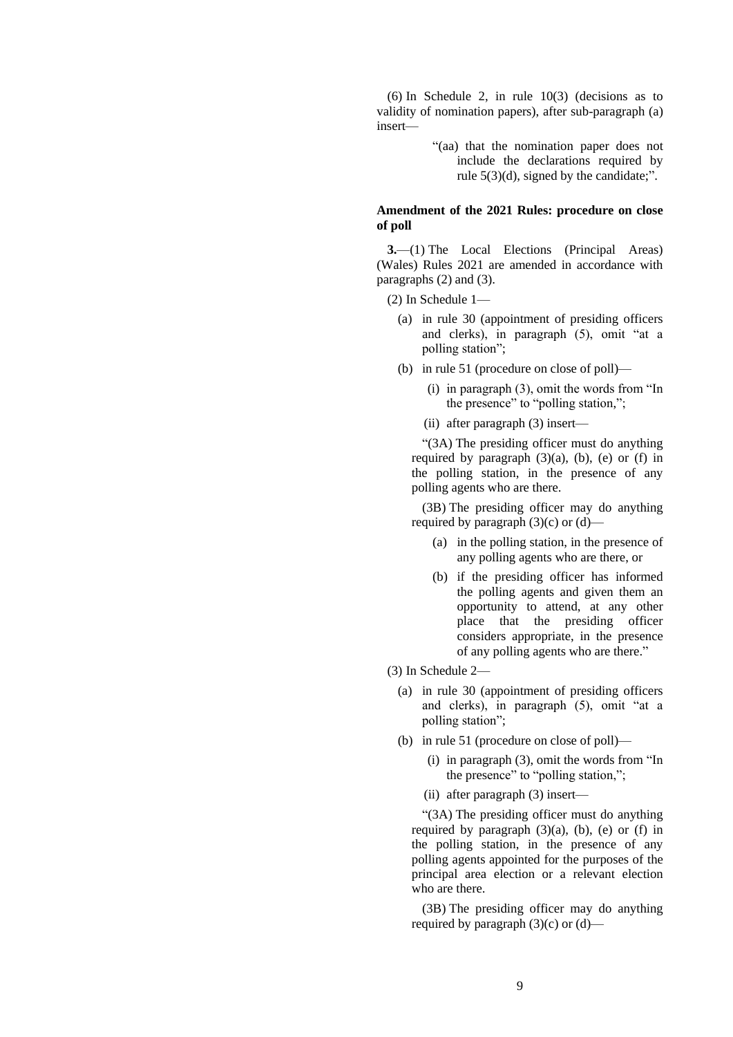(6) In Schedule 2, in rule 10(3) (decisions as to validity of nomination papers), after sub-paragraph (a) insert—

> "(aa) that the nomination paper does not include the declarations required by rule 5(3)(d), signed by the candidate;".

### **Amendment of the 2021 Rules: procedure on close of poll**

**3.**—(1) The Local Elections (Principal Areas) (Wales) Rules 2021 are amended in accordance with paragraphs (2) and (3).

(2) In Schedule 1—

- (a) in rule 30 (appointment of presiding officers and clerks), in paragraph (5), omit "at a polling station";
- (b) in rule 51 (procedure on close of poll)—
	- (i) in paragraph (3), omit the words from "In the presence" to "polling station,";
	- (ii) after paragraph (3) insert—

"(3A) The presiding officer must do anything required by paragraph  $(3)(a)$ ,  $(b)$ ,  $(e)$  or  $(f)$  in the polling station, in the presence of any polling agents who are there.

(3B) The presiding officer may do anything required by paragraph  $(3)(c)$  or  $(d)$ —

- (a) in the polling station, in the presence of any polling agents who are there, or
- (b) if the presiding officer has informed the polling agents and given them an opportunity to attend, at any other place that the presiding officer considers appropriate, in the presence of any polling agents who are there."
- (3) In Schedule 2—
	- (a) in rule 30 (appointment of presiding officers and clerks), in paragraph (5), omit "at a polling station";
	- (b) in rule 51 (procedure on close of poll)—
		- (i) in paragraph (3), omit the words from "In the presence" to "polling station,";
		- (ii) after paragraph (3) insert—

"(3A) The presiding officer must do anything required by paragraph  $(3)(a)$ ,  $(b)$ ,  $(e)$  or  $(f)$  in the polling station, in the presence of any polling agents appointed for the purposes of the principal area election or a relevant election who are there.

(3B) The presiding officer may do anything required by paragraph  $(3)(c)$  or  $(d)$ —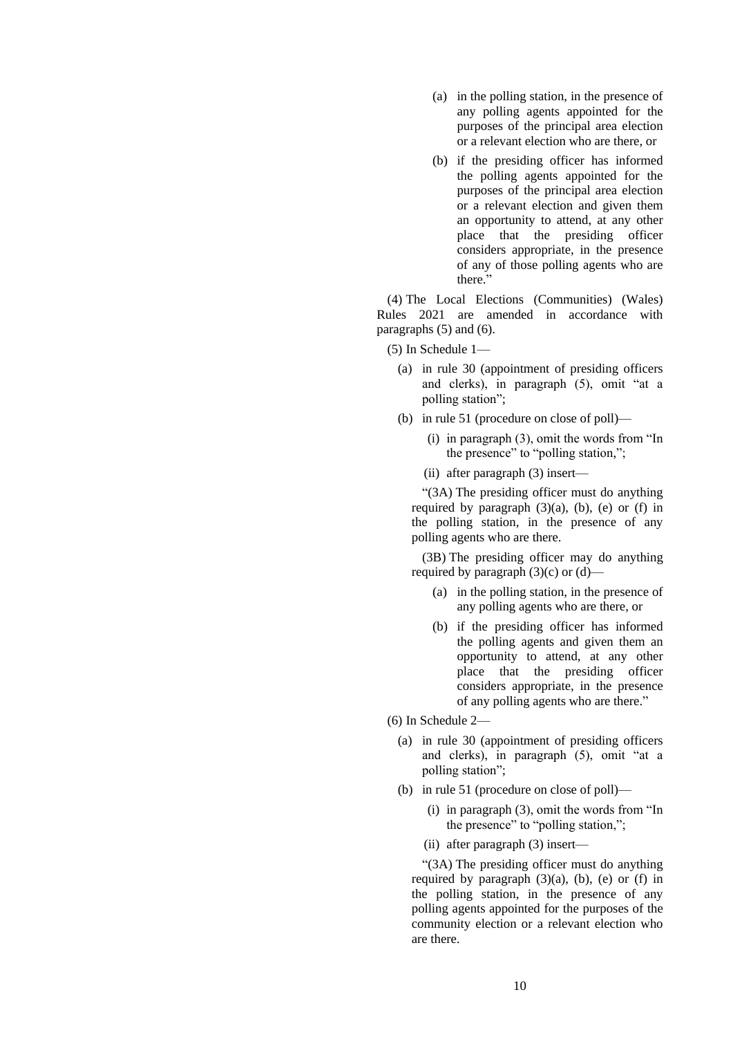- (a) in the polling station, in the presence of any polling agents appointed for the purposes of the principal area election or a relevant election who are there, or
- (b) if the presiding officer has informed the polling agents appointed for the purposes of the principal area election or a relevant election and given them an opportunity to attend, at any other place that the presiding officer considers appropriate, in the presence of any of those polling agents who are there."

(4) The Local Elections (Communities) (Wales) Rules 2021 are amended in accordance with paragraphs (5) and (6).

(5) In Schedule 1—

- (a) in rule 30 (appointment of presiding officers and clerks), in paragraph (5), omit "at a polling station";
- (b) in rule 51 (procedure on close of poll)—
	- (i) in paragraph (3), omit the words from "In the presence" to "polling station,";
	- (ii) after paragraph (3) insert—

"(3A) The presiding officer must do anything required by paragraph  $(3)(a)$ ,  $(b)$ ,  $(e)$  or  $(f)$  in the polling station, in the presence of any polling agents who are there.

(3B) The presiding officer may do anything required by paragraph  $(3)(c)$  or  $(d)$ —

- (a) in the polling station, in the presence of any polling agents who are there, or
- (b) if the presiding officer has informed the polling agents and given them an opportunity to attend, at any other place that the presiding officer considers appropriate, in the presence of any polling agents who are there."

(6) In Schedule 2—

- (a) in rule 30 (appointment of presiding officers and clerks), in paragraph (5), omit "at a polling station";
- (b) in rule 51 (procedure on close of poll)—
	- (i) in paragraph (3), omit the words from "In the presence" to "polling station,";
	- (ii) after paragraph (3) insert—

"(3A) The presiding officer must do anything required by paragraph  $(3)(a)$ ,  $(b)$ ,  $(e)$  or  $(f)$  in the polling station, in the presence of any polling agents appointed for the purposes of the community election or a relevant election who are there.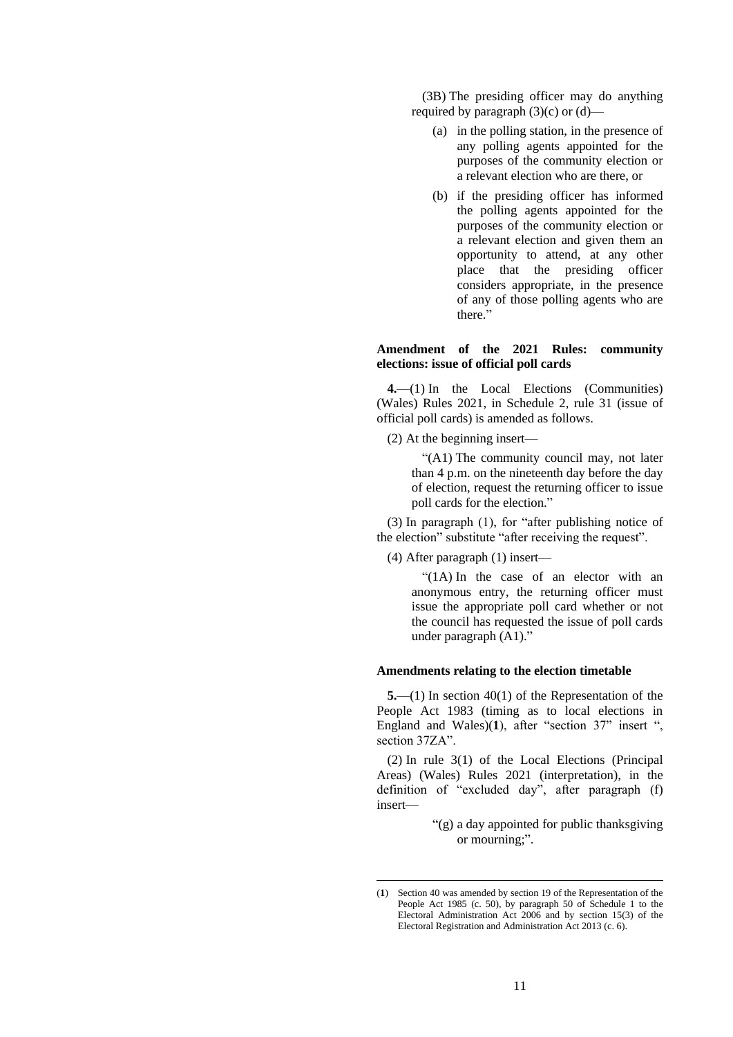(3B) The presiding officer may do anything required by paragraph  $(3)(c)$  or  $(d)$ —

- (a) in the polling station, in the presence of any polling agents appointed for the purposes of the community election or a relevant election who are there, or
- (b) if the presiding officer has informed the polling agents appointed for the purposes of the community election or a relevant election and given them an opportunity to attend, at any other place that the presiding officer considers appropriate, in the presence of any of those polling agents who are there."

#### **Amendment of the 2021 Rules: community elections: issue of official poll cards**

**4.**—(1) In the Local Elections (Communities) (Wales) Rules 2021, in Schedule 2, rule 31 (issue of official poll cards) is amended as follows.

(2) At the beginning insert—

"(A1) The community council may, not later than 4 p.m. on the nineteenth day before the day of election, request the returning officer to issue poll cards for the election."

(3) In paragraph (1), for "after publishing notice of the election" substitute "after receiving the request".

(4) After paragraph (1) insert—

"(1A) In the case of an elector with an anonymous entry, the returning officer must issue the appropriate poll card whether or not the council has requested the issue of poll cards under paragraph (A1)."

#### **Amendments relating to the election timetable**

**5.**—(1) In section 40(1) of the Representation of the People Act 1983 (timing as to local elections in England and Wales)(**1**), after "section 37" insert ", section 37ZA".

(2) In rule 3(1) of the Local Elections (Principal Areas) (Wales) Rules 2021 (interpretation), in the definition of "excluded day", after paragraph (f) insert—

> "(g) a day appointed for public thanksgiving or mourning;".

<sup>(</sup>**1**) Section 40 was amended by section 19 of the Representation of the People Act 1985 (c. 50), by paragraph 50 of Schedule 1 to the Electoral Administration Act 2006 and by section 15(3) of the Electoral Registration and Administration Act 2013 (c. 6).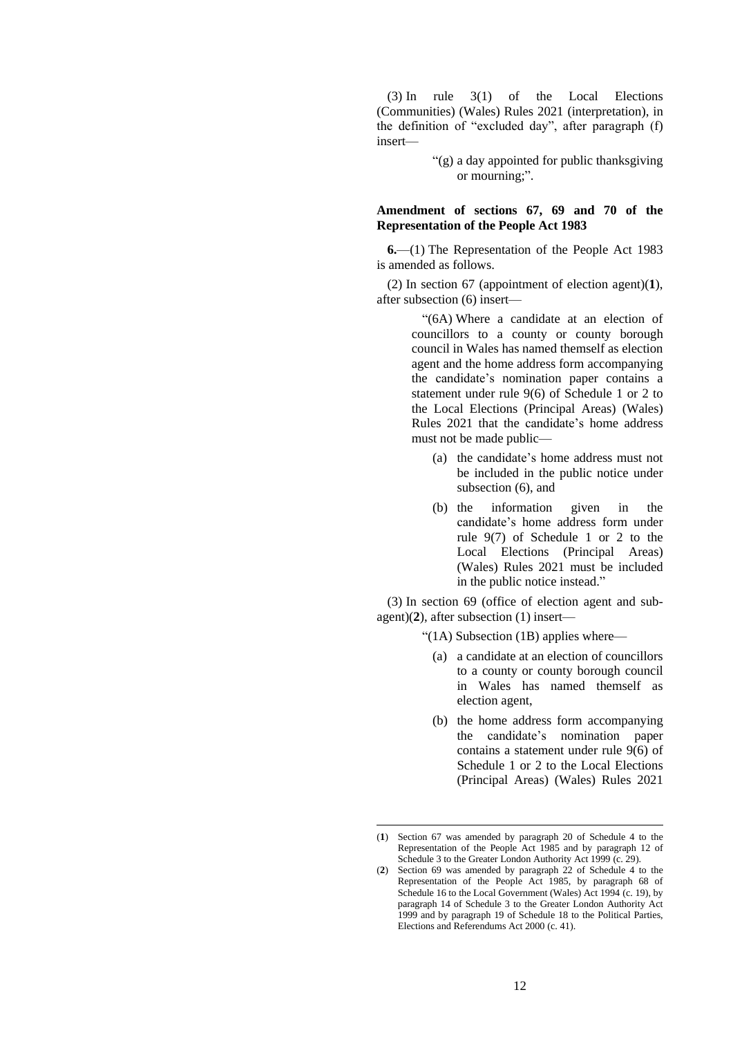(3) In rule 3(1) of the Local Elections (Communities) (Wales) Rules 2021 (interpretation), in the definition of "excluded day", after paragraph (f) insert—

> "(g) a day appointed for public thanksgiving or mourning;".

#### **Amendment of sections 67, 69 and 70 of the Representation of the People Act 1983**

**6.**—(1) The Representation of the People Act 1983 is amended as follows.

(2) In section 67 (appointment of election agent)(**1**), after subsection (6) insert—

> "(6A) Where a candidate at an election of councillors to a county or county borough council in Wales has named themself as election agent and the home address form accompanying the candidate's nomination paper contains a statement under rule 9(6) of Schedule 1 or 2 to the Local Elections (Principal Areas) (Wales) Rules 2021 that the candidate's home address must not be made public—

- (a) the candidate's home address must not be included in the public notice under subsection (6), and
- (b) the information given in the candidate's home address form under rule 9(7) of Schedule 1 or 2 to the Local Elections (Principal Areas) (Wales) Rules 2021 must be included in the public notice instead."

(3) In section 69 (office of election agent and subagent)(**2**), after subsection (1) insert—

"(1A) Subsection (1B) applies where—

- (a) a candidate at an election of councillors to a county or county borough council in Wales has named themself as election agent,
- (b) the home address form accompanying the candidate's nomination paper contains a statement under rule 9(6) of Schedule 1 or 2 to the Local Elections (Principal Areas) (Wales) Rules 2021

<sup>(</sup>**1**) Section 67 was amended by paragraph 20 of Schedule 4 to the Representation of the People Act 1985 and by paragraph 12 of Schedule 3 to the Greater London Authority Act 1999 (c. 29).

<sup>(</sup>**2**) Section 69 was amended by paragraph 22 of Schedule 4 to the Representation of the People Act 1985, by paragraph 68 of Schedule 16 to the Local Government (Wales) Act 1994 (c. 19), by paragraph 14 of Schedule 3 to the Greater London Authority Act 1999 and by paragraph 19 of Schedule 18 to the Political Parties, Elections and Referendums Act 2000 (c. 41).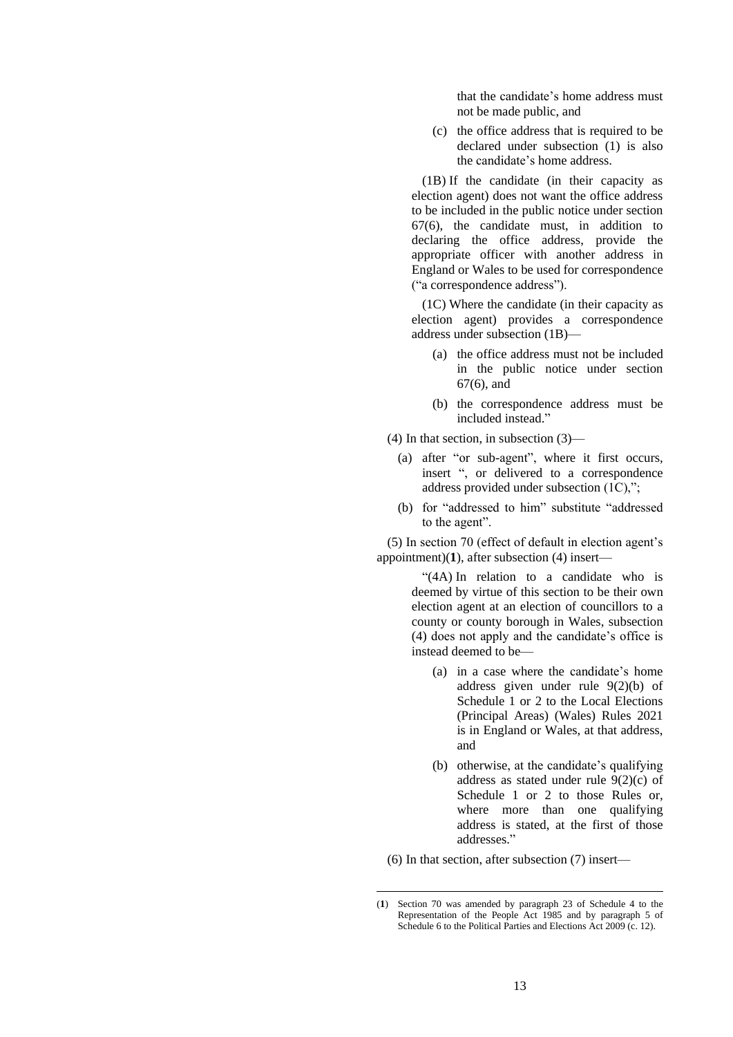that the candidate's home address must not be made public, and

(c) the office address that is required to be declared under subsection (1) is also the candidate's home address.

(1B) If the candidate (in their capacity as election agent) does not want the office address to be included in the public notice under section 67(6), the candidate must, in addition to declaring the office address, provide the appropriate officer with another address in England or Wales to be used for correspondence ("a correspondence address").

(1C) Where the candidate (in their capacity as election agent) provides a correspondence address under subsection (1B)—

- (a) the office address must not be included in the public notice under section 67(6), and
- (b) the correspondence address must be included instead."

(4) In that section, in subsection (3)—

- (a) after "or sub-agent", where it first occurs, insert ", or delivered to a correspondence address provided under subsection (1C),";
- (b) for "addressed to him" substitute "addressed to the agent".

(5) In section 70 (effect of default in election agent's appointment)(**1**), after subsection (4) insert—

> "(4A) In relation to a candidate who is deemed by virtue of this section to be their own election agent at an election of councillors to a county or county borough in Wales, subsection (4) does not apply and the candidate's office is instead deemed to be—

- (a) in a case where the candidate's home address given under rule 9(2)(b) of Schedule 1 or 2 to the Local Elections (Principal Areas) (Wales) Rules 2021 is in England or Wales, at that address, and
- (b) otherwise, at the candidate's qualifying address as stated under rule 9(2)(c) of Schedule 1 or 2 to those Rules or, where more than one qualifying address is stated, at the first of those addresses."

(6) In that section, after subsection (7) insert—

<sup>(</sup>**1**) Section 70 was amended by paragraph 23 of Schedule 4 to the Representation of the People Act 1985 and by paragraph 5 of Schedule 6 to the Political Parties and Elections Act 2009 (c. 12).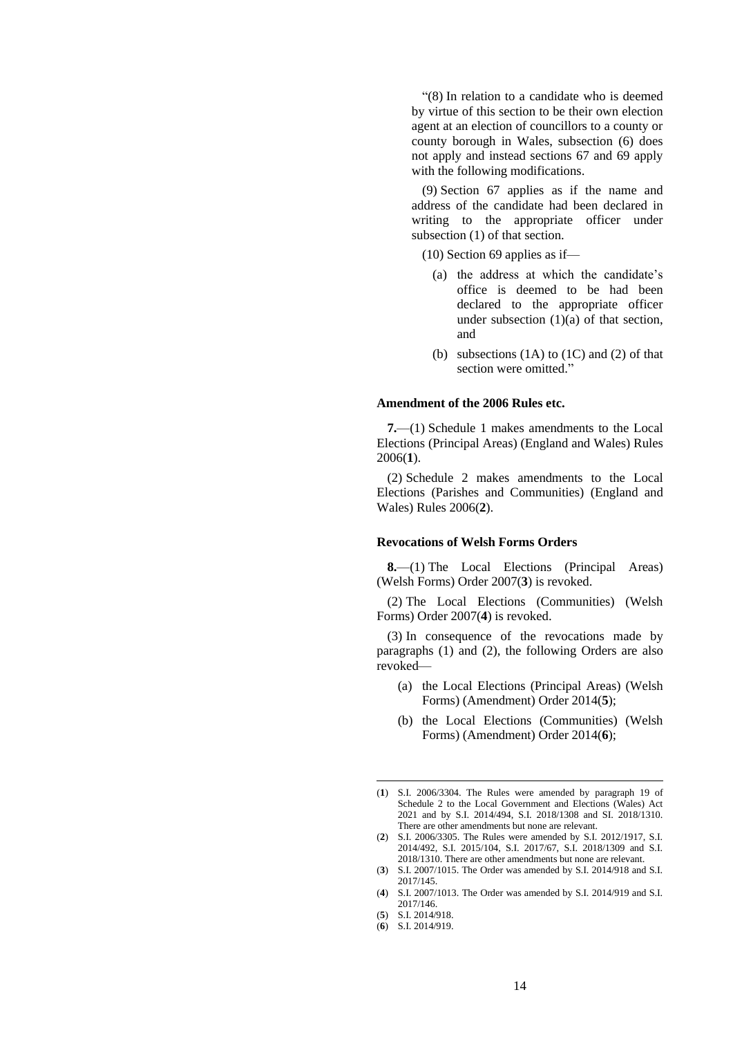"(8) In relation to a candidate who is deemed by virtue of this section to be their own election agent at an election of councillors to a county or county borough in Wales, subsection (6) does not apply and instead sections 67 and 69 apply with the following modifications.

(9) Section 67 applies as if the name and address of the candidate had been declared in writing to the appropriate officer under subsection (1) of that section.

(10) Section 69 applies as if—

- (a) the address at which the candidate's office is deemed to be had been declared to the appropriate officer under subsection  $(1)(a)$  of that section, and
- (b) subsections  $(1A)$  to  $(1C)$  and  $(2)$  of that section were omitted."

#### **Amendment of the 2006 Rules etc.**

**7.**—(1) Schedule 1 makes amendments to the Local Elections (Principal Areas) (England and Wales) Rules 2006(**1**).

(2) Schedule 2 makes amendments to the Local Elections (Parishes and Communities) (England and Wales) Rules 2006(**2**).

#### **Revocations of Welsh Forms Orders**

**8.**—(1) The Local Elections (Principal Areas) (Welsh Forms) Order 2007(**3**) is revoked.

(2) The Local Elections (Communities) (Welsh Forms) Order 2007(**4**) is revoked.

(3) In consequence of the revocations made by paragraphs (1) and (2), the following Orders are also revoked—

- (a) the Local Elections (Principal Areas) (Welsh Forms) (Amendment) Order 2014(**5**);
- (b) the Local Elections (Communities) (Welsh Forms) (Amendment) Order 2014(**6**);

<sup>(</sup>**1**) S.I. 2006/3304. The Rules were amended by paragraph 19 of Schedule 2 to the Local Government and Elections (Wales) Act 2021 and by S.I. 2014/494, S.I. 2018/1308 and SI. 2018/1310. There are other amendments but none are relevant.

<sup>(</sup>**2**) S.I. 2006/3305. The Rules were amended by S.I. 2012/1917, S.I. 2014/492, S.I. 2015/104, S.I. 2017/67, S.I. 2018/1309 and S.I. 2018/1310. There are other amendments but none are relevant.

<sup>(</sup>**3**) S.I. 2007/1015. The Order was amended by S.I. 2014/918 and S.I. 2017/145.

<sup>(</sup>**4**) S.I. 2007/1013. The Order was amended by S.I. 2014/919 and S.I. 2017/146.

<sup>(</sup>**5**) S.I. 2014/918.

<sup>(</sup>**6**) S.I. 2014/919.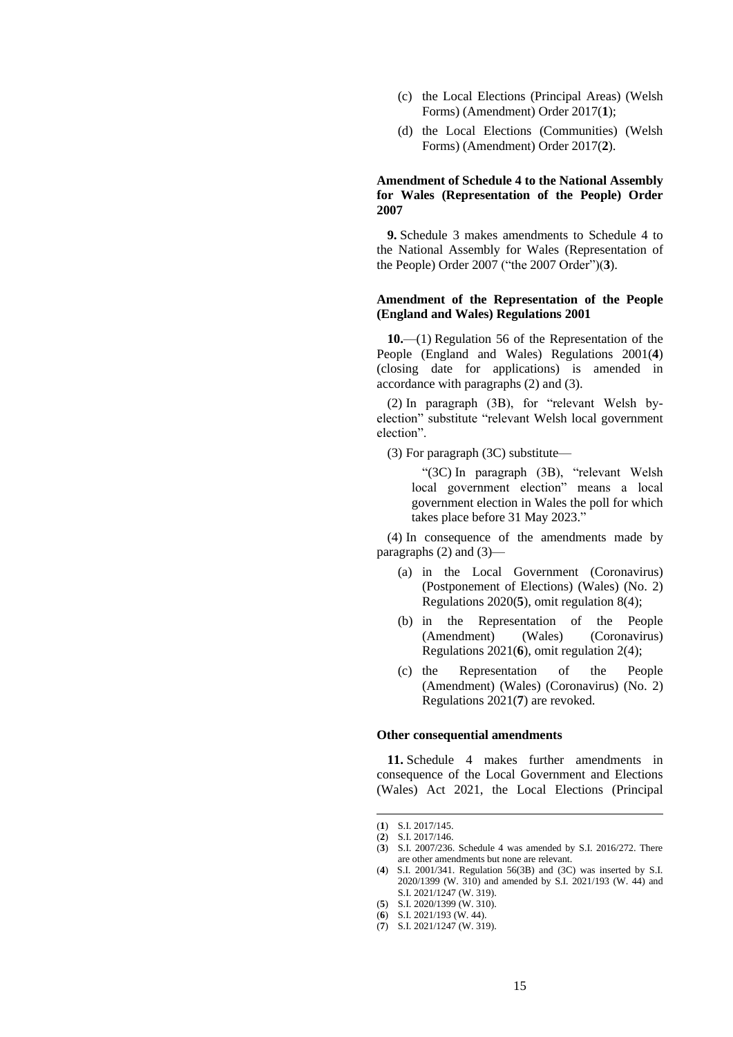- (c) the Local Elections (Principal Areas) (Welsh Forms) (Amendment) Order 2017(**1**);
- (d) the Local Elections (Communities) (Welsh Forms) (Amendment) Order 2017(**2**).

#### **Amendment of Schedule 4 to the National Assembly for Wales (Representation of the People) Order 2007**

**9.** Schedule 3 makes amendments to Schedule 4 to the National Assembly for Wales (Representation of the People) Order 2007 ("the 2007 Order")(**3**).

#### **Amendment of the Representation of the People (England and Wales) Regulations 2001**

**10.**—(1) Regulation 56 of the Representation of the People (England and Wales) Regulations 2001(**4**) (closing date for applications) is amended in accordance with paragraphs (2) and (3).

(2) In paragraph (3B), for "relevant Welsh byelection" substitute "relevant Welsh local government election".

(3) For paragraph (3C) substitute—

"(3C) In paragraph (3B), "relevant Welsh local government election" means a local government election in Wales the poll for which takes place before 31 May 2023."

(4) In consequence of the amendments made by paragraphs  $(2)$  and  $(3)$ —

- (a) in the Local Government (Coronavirus) (Postponement of Elections) (Wales) (No. 2) Regulations 2020(**5**), omit regulation 8(4);
- (b) in the Representation of the People (Amendment) (Wales) (Coronavirus) Regulations 2021(**6**), omit regulation 2(4);
- (c) the Representation of the People (Amendment) (Wales) (Coronavirus) (No. 2) Regulations 2021(**7**) are revoked.

#### **Other consequential amendments**

**11.** Schedule 4 makes further amendments in consequence of the Local Government and Elections (Wales) Act 2021, the Local Elections (Principal

<sup>(</sup>**1**) S.I. 2017/145.

<sup>(</sup>**2**) S.I. 2017/146.

<sup>(</sup>**3**) S.I. 2007/236. Schedule 4 was amended by S.I. 2016/272. There are other amendments but none are relevant.

<sup>(</sup>**4**) S.I. 2001/341. Regulation 56(3B) and (3C) was inserted by S.I. 2020/1399 (W. 310) and amended by S.I. 2021/193 (W. 44) and S.I. 2021/1247 (W. 319).

<sup>(</sup>**5**) S.I. 2020/1399 (W. 310).

<sup>(</sup>**6**) S.I. 2021/193 (W. 44).

<sup>(</sup>**7**) S.I. 2021/1247 (W. 319).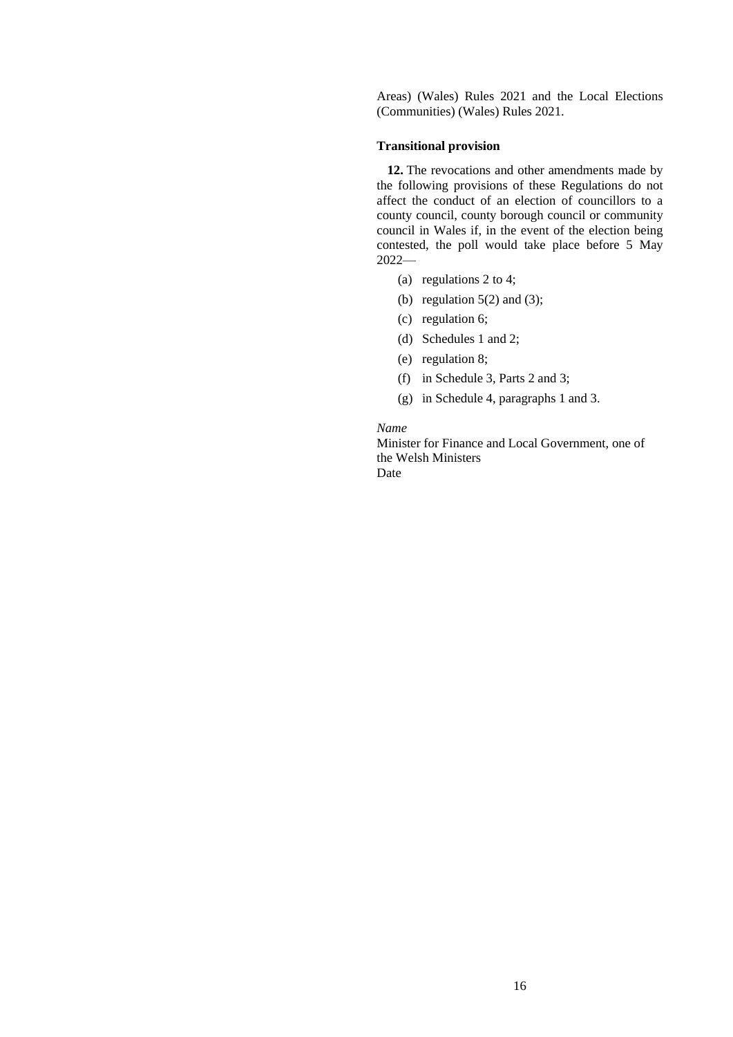Areas) (Wales) Rules 2021 and the Local Elections (Communities) (Wales) Rules 2021.

#### **Transitional provision**

**12.** The revocations and other amendments made by the following provisions of these Regulations do not affect the conduct of an election of councillors to a county council, county borough council or community council in Wales if, in the event of the election being contested, the poll would take place before 5 May 2022—

- (a) regulations 2 to 4;
- (b) regulation  $5(2)$  and (3);
- (c) regulation 6;
- (d) Schedules 1 and 2;
- (e) regulation 8;
- (f) in Schedule 3, Parts 2 and 3;
- (g) in Schedule 4, paragraphs 1 and 3.

#### *Name*

Minister for Finance and Local Government, one of the Welsh Ministers Date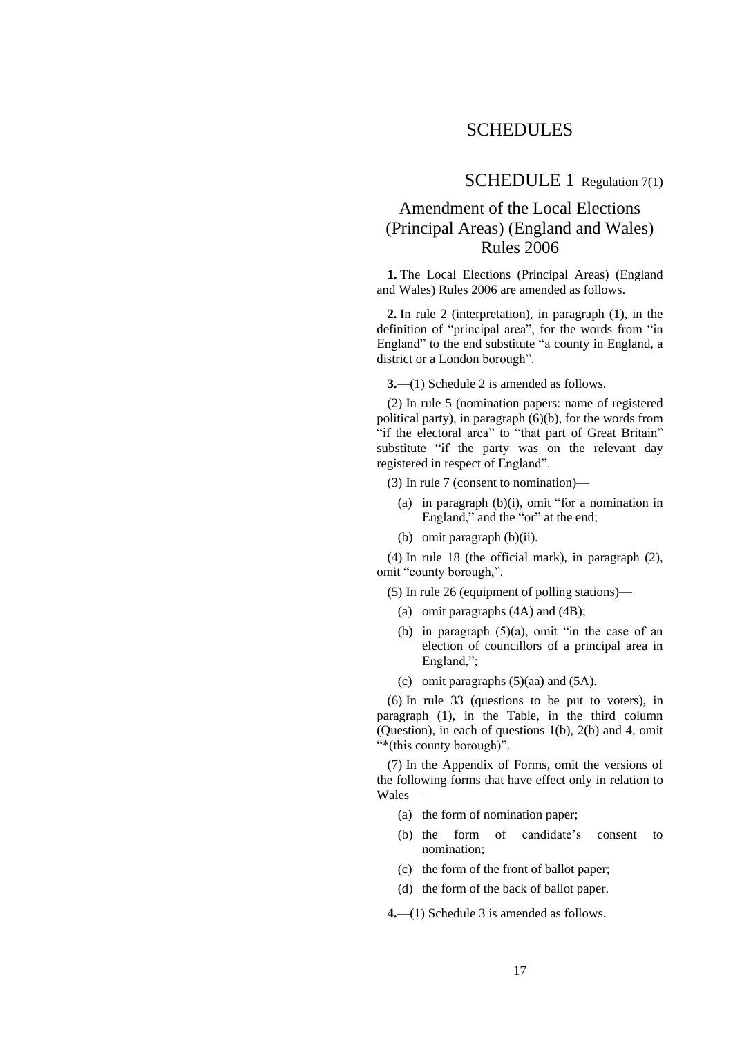# **SCHEDULES**

### SCHEDULE 1 Regulation 7(1)

# Amendment of the Local Elections (Principal Areas) (England and Wales) Rules 2006

**1.** The Local Elections (Principal Areas) (England and Wales) Rules 2006 are amended as follows.

**2.** In rule 2 (interpretation), in paragraph (1), in the definition of "principal area", for the words from "in England" to the end substitute "a county in England, a district or a London borough".

**3.**—(1) Schedule 2 is amended as follows.

(2) In rule 5 (nomination papers: name of registered political party), in paragraph (6)(b), for the words from "if the electoral area" to "that part of Great Britain" substitute "if the party was on the relevant day registered in respect of England".

(3) In rule 7 (consent to nomination)—

- (a) in paragraph (b)(i), omit "for a nomination in England," and the "or" at the end;
- (b) omit paragraph (b)(ii).

(4) In rule 18 (the official mark), in paragraph (2), omit "county borough,".

(5) In rule 26 (equipment of polling stations)—

- (a) omit paragraphs (4A) and (4B);
- (b) in paragraph  $(5)(a)$ , omit "in the case of an election of councillors of a principal area in England,";
- (c) omit paragraphs  $(5)(aa)$  and  $(5A)$ .

(6) In rule 33 (questions to be put to voters), in paragraph (1), in the Table, in the third column (Question), in each of questions 1(b), 2(b) and 4, omit "\*(this county borough)".

(7) In the Appendix of Forms, omit the versions of the following forms that have effect only in relation to Wales—

- (a) the form of nomination paper;
- (b) the form of candidate's consent to nomination;
- (c) the form of the front of ballot paper;
- (d) the form of the back of ballot paper.

**4.**—(1) Schedule 3 is amended as follows.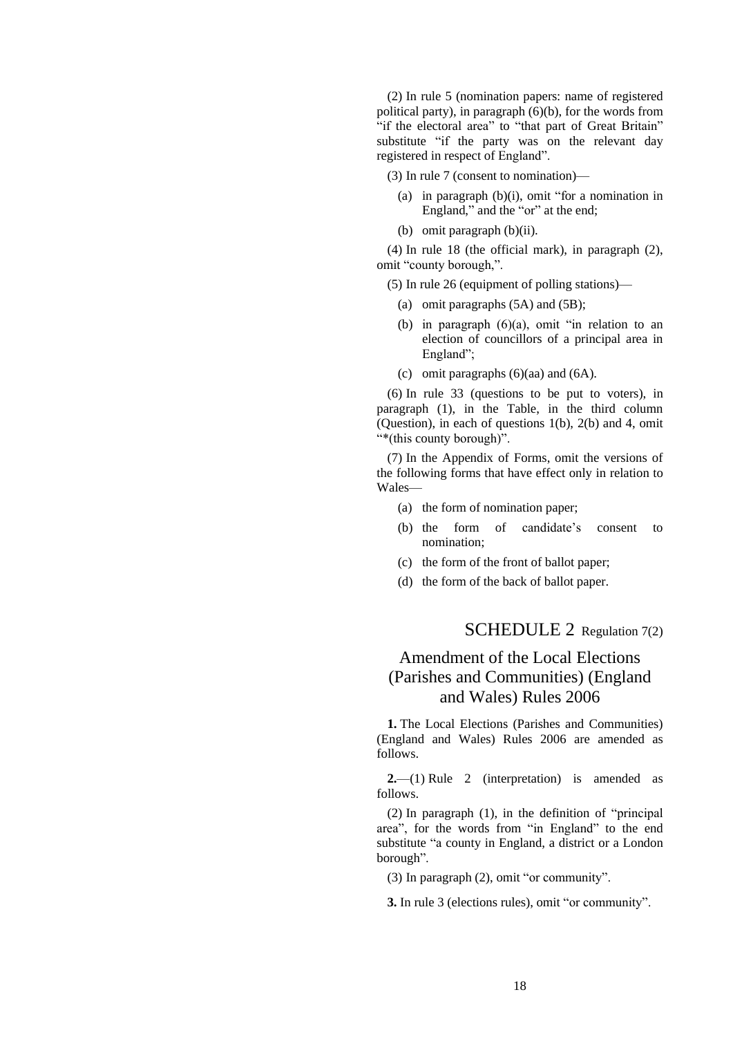(2) In rule 5 (nomination papers: name of registered political party), in paragraph (6)(b), for the words from "if the electoral area" to "that part of Great Britain" substitute "if the party was on the relevant day registered in respect of England".

(3) In rule 7 (consent to nomination)—

- (a) in paragraph (b)(i), omit "for a nomination in England," and the "or" at the end;
- (b) omit paragraph (b)(ii).

(4) In rule 18 (the official mark), in paragraph (2), omit "county borough,".

(5) In rule 26 (equipment of polling stations)—

- (a) omit paragraphs (5A) and (5B);
- (b) in paragraph (6)(a), omit "in relation to an election of councillors of a principal area in England";
- (c) omit paragraphs (6)(aa) and (6A).

(6) In rule 33 (questions to be put to voters), in paragraph (1), in the Table, in the third column (Question), in each of questions 1(b), 2(b) and 4, omit "\*(this county borough)".

(7) In the Appendix of Forms, omit the versions of the following forms that have effect only in relation to Wales—

- (a) the form of nomination paper;
- (b) the form of candidate's consent to nomination;
- (c) the form of the front of ballot paper;
- (d) the form of the back of ballot paper.

## SCHEDULE 2 Regulation 7(2)

# Amendment of the Local Elections (Parishes and Communities) (England and Wales) Rules 2006

**1.** The Local Elections (Parishes and Communities) (England and Wales) Rules 2006 are amended as follows.

**2.**—(1) Rule 2 (interpretation) is amended as follows.

(2) In paragraph (1), in the definition of "principal area", for the words from "in England" to the end substitute "a county in England, a district or a London borough".

(3) In paragraph (2), omit "or community".

**3.** In rule 3 (elections rules), omit "or community".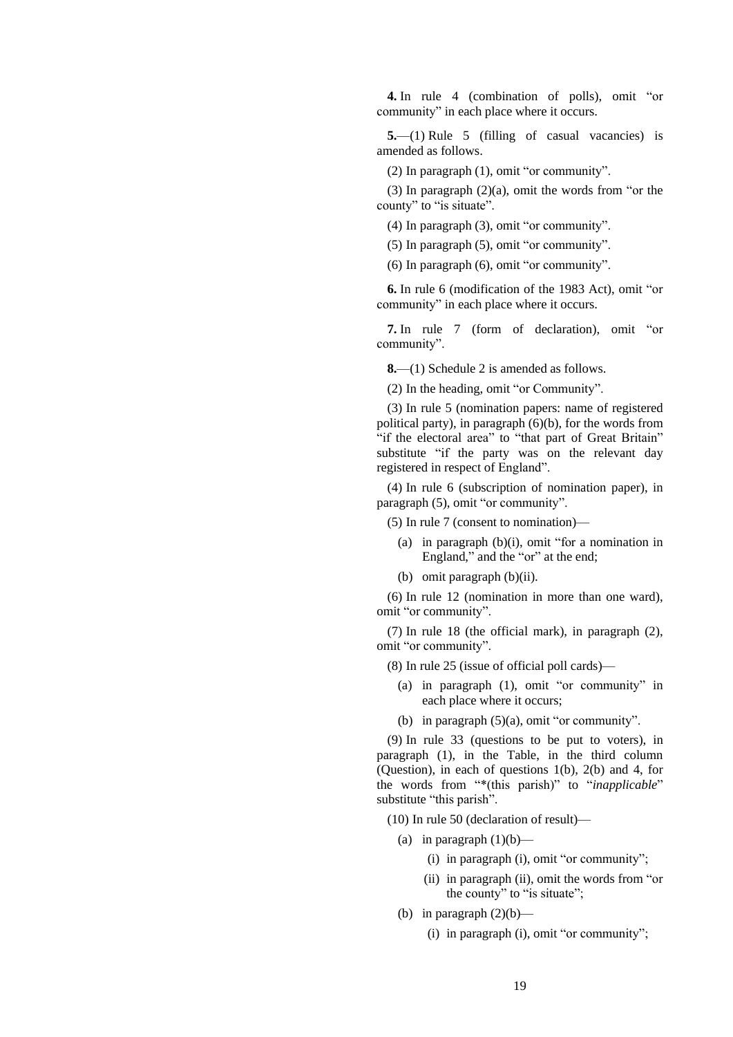**4.** In rule 4 (combination of polls), omit "or community" in each place where it occurs.

**5.**—(1) Rule 5 (filling of casual vacancies) is amended as follows.

(2) In paragraph (1), omit "or community".

(3) In paragraph (2)(a), omit the words from "or the county" to "is situate".

(4) In paragraph (3), omit "or community".

(5) In paragraph (5), omit "or community".

(6) In paragraph (6), omit "or community".

**6.** In rule 6 (modification of the 1983 Act), omit "or community" in each place where it occurs.

**7.** In rule 7 (form of declaration), omit "or community".

**8.**—(1) Schedule 2 is amended as follows.

(2) In the heading, omit "or Community".

(3) In rule 5 (nomination papers: name of registered political party), in paragraph (6)(b), for the words from "if the electoral area" to "that part of Great Britain" substitute "if the party was on the relevant day registered in respect of England".

(4) In rule 6 (subscription of nomination paper), in paragraph (5), omit "or community".

(5) In rule 7 (consent to nomination)—

- (a) in paragraph (b)(i), omit "for a nomination in England," and the "or" at the end;
- (b) omit paragraph (b)(ii).

(6) In rule 12 (nomination in more than one ward), omit "or community".

(7) In rule 18 (the official mark), in paragraph (2), omit "or community".

- (8) In rule 25 (issue of official poll cards)—
	- (a) in paragraph (1), omit "or community" in each place where it occurs;
	- (b) in paragraph (5)(a), omit "or community".

(9) In rule 33 (questions to be put to voters), in paragraph (1), in the Table, in the third column (Question), in each of questions 1(b), 2(b) and 4, for the words from "\*(this parish)" to "*inapplicable*" substitute "this parish".

(10) In rule 50 (declaration of result)—

- (a) in paragraph  $(1)(b)$ 
	- (i) in paragraph (i), omit "or community";
	- (ii) in paragraph (ii), omit the words from "or the county" to "is situate";
- (b) in paragraph  $(2)(b)$ 
	- (i) in paragraph (i), omit "or community";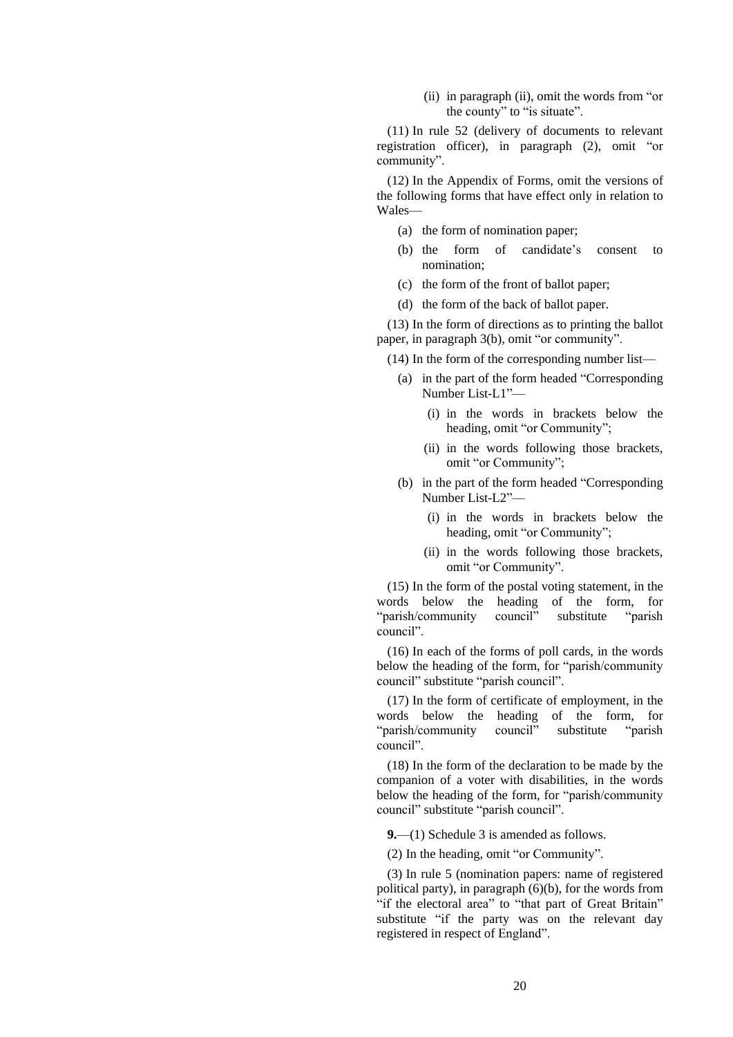(ii) in paragraph (ii), omit the words from "or the county" to "is situate".

(11) In rule 52 (delivery of documents to relevant registration officer), in paragraph (2), omit "or community".

(12) In the Appendix of Forms, omit the versions of the following forms that have effect only in relation to Wales—

- (a) the form of nomination paper;
- (b) the form of candidate's consent to nomination;
- (c) the form of the front of ballot paper;
- (d) the form of the back of ballot paper.

(13) In the form of directions as to printing the ballot paper, in paragraph 3(b), omit "or community".

(14) In the form of the corresponding number list—

- (a) in the part of the form headed "Corresponding Number List-L1"—
	- (i) in the words in brackets below the heading, omit "or Community";
	- (ii) in the words following those brackets, omit "or Community";
- (b) in the part of the form headed "Corresponding Number List-L2"—
	- (i) in the words in brackets below the heading, omit "or Community";
	- (ii) in the words following those brackets, omit "or Community".

(15) In the form of the postal voting statement, in the words below the heading of the form, for "parish/community council" substitute "parish council".

(16) In each of the forms of poll cards, in the words below the heading of the form, for "parish/community council" substitute "parish council".

(17) In the form of certificate of employment, in the words below the heading of the form, for "parish/community council" substitute "parish council".

(18) In the form of the declaration to be made by the companion of a voter with disabilities, in the words below the heading of the form, for "parish/community council" substitute "parish council".

**9.**—(1) Schedule 3 is amended as follows.

(2) In the heading, omit "or Community".

(3) In rule 5 (nomination papers: name of registered political party), in paragraph (6)(b), for the words from "if the electoral area" to "that part of Great Britain" substitute "if the party was on the relevant day registered in respect of England".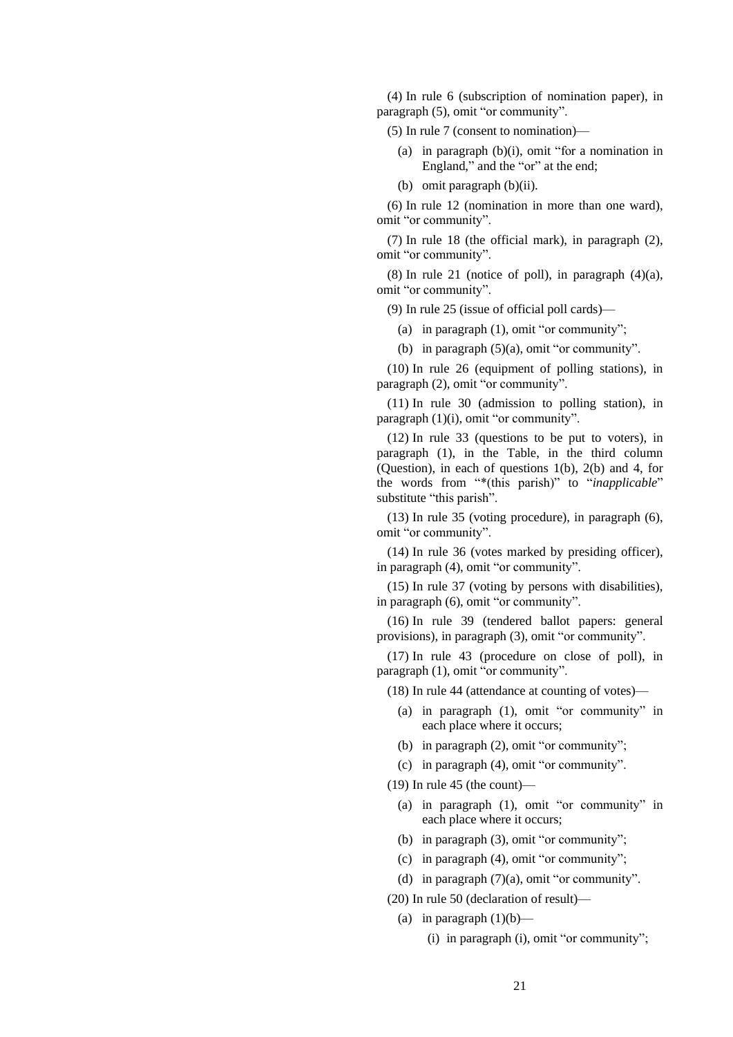(4) In rule 6 (subscription of nomination paper), in paragraph (5), omit "or community".

(5) In rule 7 (consent to nomination)—

- (a) in paragraph (b)(i), omit "for a nomination in England," and the "or" at the end;
- (b) omit paragraph (b)(ii).

(6) In rule 12 (nomination in more than one ward), omit "or community".

(7) In rule 18 (the official mark), in paragraph (2), omit "or community".

 $(8)$  In rule 21 (notice of poll), in paragraph  $(4)(a)$ , omit "or community".

(9) In rule 25 (issue of official poll cards)—

(a) in paragraph (1), omit "or community";

(b) in paragraph (5)(a), omit "or community".

(10) In rule 26 (equipment of polling stations), in paragraph (2), omit "or community".

(11) In rule 30 (admission to polling station), in paragraph (1)(i), omit "or community".

(12) In rule 33 (questions to be put to voters), in paragraph (1), in the Table, in the third column (Question), in each of questions 1(b), 2(b) and 4, for the words from "\*(this parish)" to "*inapplicable*" substitute "this parish".

(13) In rule 35 (voting procedure), in paragraph (6), omit "or community".

(14) In rule 36 (votes marked by presiding officer), in paragraph (4), omit "or community".

(15) In rule 37 (voting by persons with disabilities), in paragraph (6), omit "or community".

(16) In rule 39 (tendered ballot papers: general provisions), in paragraph (3), omit "or community".

(17) In rule 43 (procedure on close of poll), in paragraph (1), omit "or community".

(18) In rule 44 (attendance at counting of votes)—

- (a) in paragraph (1), omit "or community" in each place where it occurs;
- (b) in paragraph (2), omit "or community";
- (c) in paragraph (4), omit "or community".

 $(19)$  In rule 45 (the count)—

- (a) in paragraph (1), omit "or community" in each place where it occurs;
- (b) in paragraph (3), omit "or community";
- (c) in paragraph (4), omit "or community";
- (d) in paragraph (7)(a), omit "or community".

(20) In rule 50 (declaration of result)—

- (a) in paragraph  $(1)(b)$ 
	- (i) in paragraph (i), omit "or community";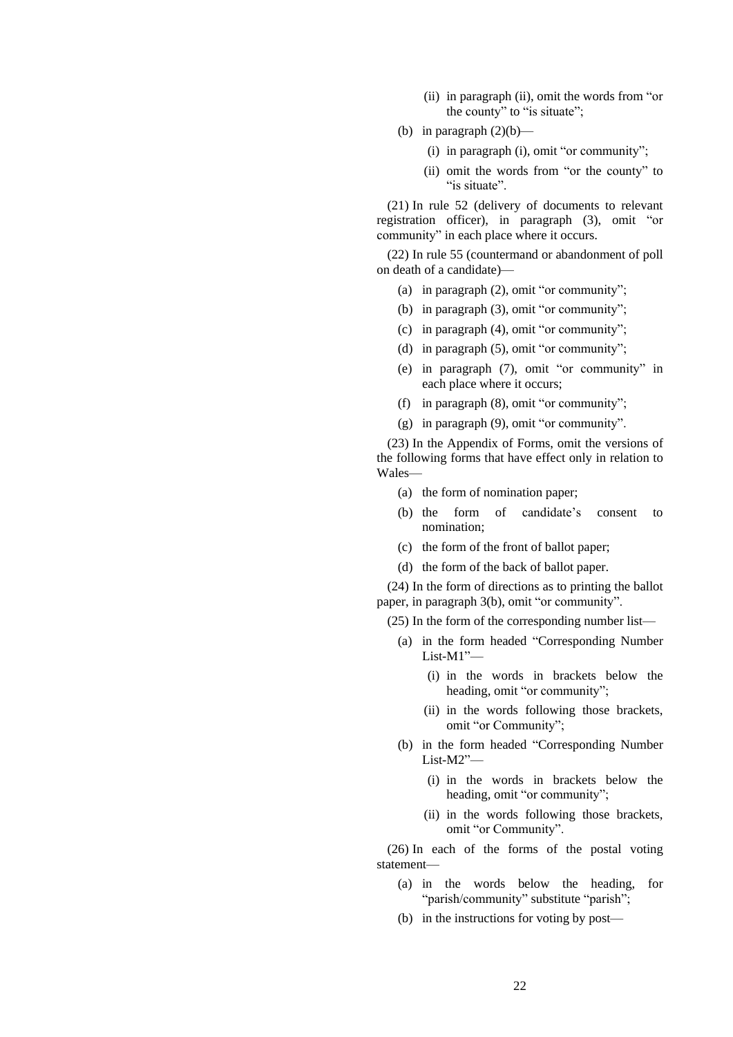- (ii) in paragraph (ii), omit the words from "or the county" to "is situate";
- (b) in paragraph  $(2)(b)$ 
	- (i) in paragraph (i), omit "or community";
	- (ii) omit the words from "or the county" to "is situate".

(21) In rule 52 (delivery of documents to relevant registration officer), in paragraph (3), omit "or community" in each place where it occurs.

(22) In rule 55 (countermand or abandonment of poll on death of a candidate)—

- (a) in paragraph (2), omit "or community";
- (b) in paragraph (3), omit "or community";
- (c) in paragraph (4), omit "or community";
- (d) in paragraph (5), omit "or community";
- (e) in paragraph (7), omit "or community" in each place where it occurs;
- (f) in paragraph (8), omit "or community";
- (g) in paragraph (9), omit "or community".

(23) In the Appendix of Forms, omit the versions of the following forms that have effect only in relation to Wales—

- (a) the form of nomination paper;
- (b) the form of candidate's consent to nomination;
- (c) the form of the front of ballot paper;
- (d) the form of the back of ballot paper.

(24) In the form of directions as to printing the ballot paper, in paragraph 3(b), omit "or community".

(25) In the form of the corresponding number list—

- (a) in the form headed "Corresponding Number List-M1"—
	- (i) in the words in brackets below the heading, omit "or community";
	- (ii) in the words following those brackets, omit "or Community";
- (b) in the form headed "Corresponding Number List-M2"—
	- (i) in the words in brackets below the heading, omit "or community";
	- (ii) in the words following those brackets, omit "or Community".

(26) In each of the forms of the postal voting statement—

- (a) in the words below the heading, for "parish/community" substitute "parish";
- (b) in the instructions for voting by post—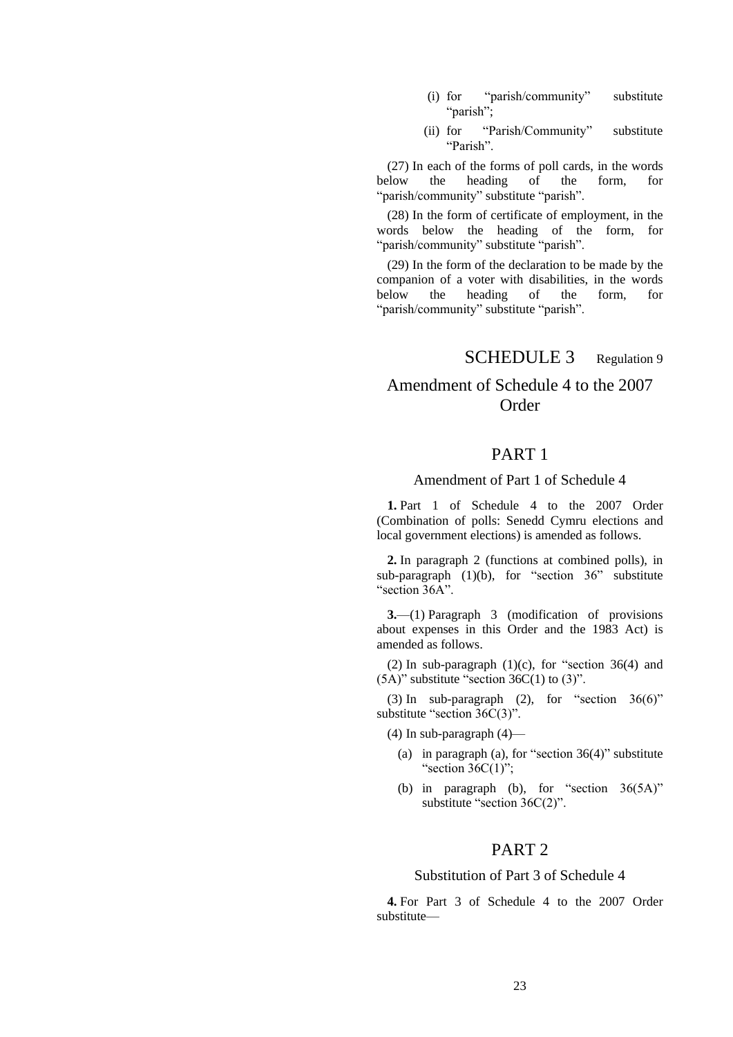- (i) for "parish/community" substitute "parish";
- (ii) for "Parish/Community" substitute "Parish".

 $(27)$  In each of the forms of poll cards, in the words<br>below the heading of the form, for of the "parish/community" substitute "parish".

(28) In the form of certificate of employment, in the words below the heading of the form, for "parish/community" substitute "parish".

(29) In the form of the declaration to be made by the companion of a voter with disabilities, in the words below the heading of the form, for "parish/community" substitute "parish".

# SCHEDULE 3 Regulation 9

# Amendment of Schedule 4 to the 2007 **Order**

## PART 1

### Amendment of Part 1 of Schedule 4

**1.** Part 1 of Schedule 4 to the 2007 Order (Combination of polls: Senedd Cymru elections and local government elections) is amended as follows.

**2.** In paragraph 2 (functions at combined polls), in sub-paragraph  $(1)(b)$ , for "section 36" substitute "section 36A".

**3.**—(1) Paragraph 3 (modification of provisions about expenses in this Order and the 1983 Act) is amended as follows.

(2) In sub-paragraph  $(1)(c)$ , for "section 36(4) and  $(5A)$ " substitute "section 36C(1) to (3)".

(3) In sub-paragraph (2), for "section  $36(6)$ " substitute "section 36C(3)".

(4) In sub-paragraph (4)—

- (a) in paragraph (a), for "section 36(4)" substitute "section  $36C(1)$ ";
- (b) in paragraph (b), for "section  $36(5A)$ " substitute "section 36C(2)".

## PART 2

#### Substitution of Part 3 of Schedule 4

**4.** For Part 3 of Schedule 4 to the 2007 Order substitute—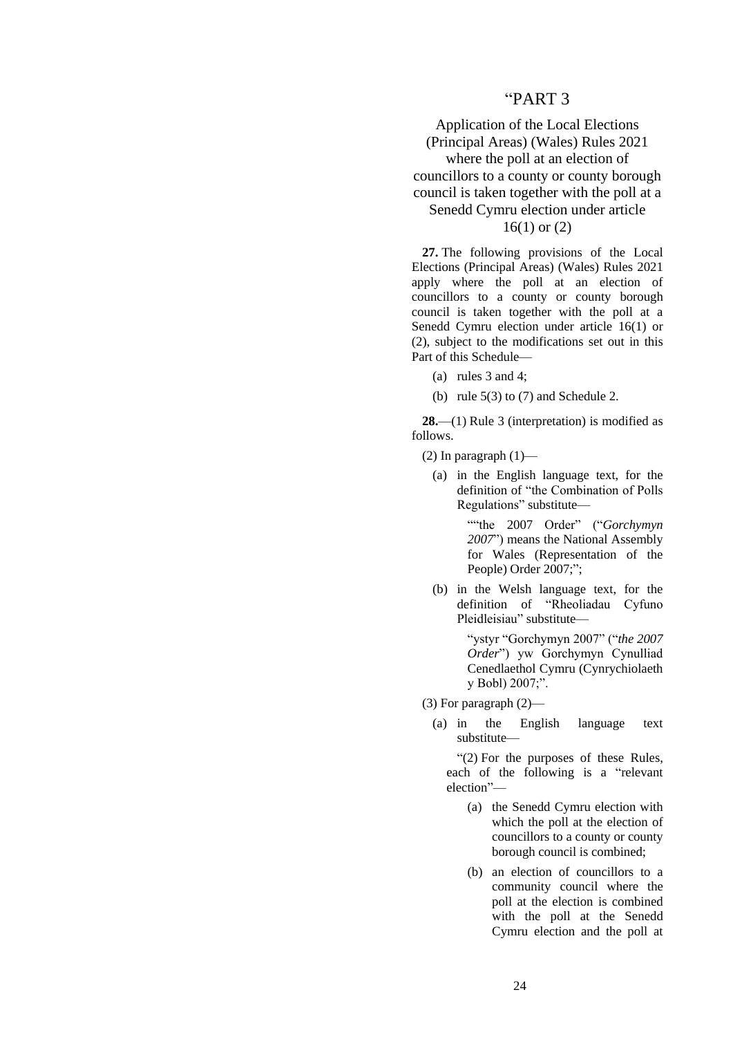### "PART 3

## Application of the Local Elections (Principal Areas) (Wales) Rules 2021 where the poll at an election of councillors to a county or county borough council is taken together with the poll at a Senedd Cymru election under article 16(1) or (2)

**27.** The following provisions of the Local Elections (Principal Areas) (Wales) Rules 2021 apply where the poll at an election of councillors to a county or county borough council is taken together with the poll at a Senedd Cymru election under article 16(1) or (2), subject to the modifications set out in this Part of this Schedule—

- (a) rules 3 and 4;
- (b) rule  $5(3)$  to  $(7)$  and Schedule 2.

**28.**—(1) Rule 3 (interpretation) is modified as follows.

(2) In paragraph  $(1)$ —

(a) in the English language text, for the definition of "the Combination of Polls Regulations" substitute—

> ""the 2007 Order" ("*Gorchymyn 2007*") means the National Assembly for Wales (Representation of the People) Order 2007;";

(b) in the Welsh language text, for the definition of "Rheoliadau Cyfuno Pleidleisiau" substitute—

> "ystyr "Gorchymyn 2007" ("*the 2007 Order*") yw Gorchymyn Cynulliad Cenedlaethol Cymru (Cynrychiolaeth y Bobl) 2007;".

(3) For paragraph (2)—

(a) in the English language text substitute—

"(2) For the purposes of these Rules, each of the following is a "relevant election"—

- (a) the Senedd Cymru election with which the poll at the election of councillors to a county or county borough council is combined;
- (b) an election of councillors to a community council where the poll at the election is combined with the poll at the Senedd Cymru election and the poll at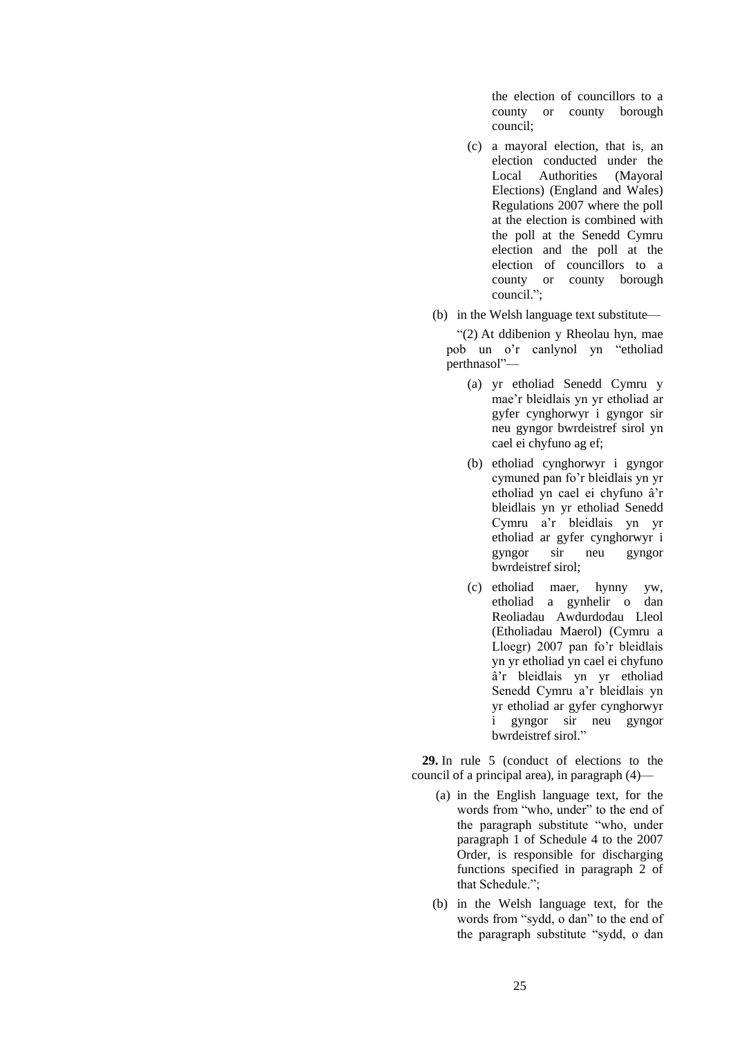the election of councillors to a county or county borough council;

- (c) a mayoral election, that is, an election conducted under the Local Authorities (Mayoral Elections) (England and Wales) Regulations 2007 where the poll at the election is combined with the poll at the Senedd Cymru election and the poll at the election of councillors to a county or county borough council.";
- (b) in the Welsh language text substitute—

"(2) At ddibenion y Rheolau hyn, mae pob un o'r canlynol yn "etholiad perthnasol"—

- (a) yr etholiad Senedd Cymru y mae'r bleidlais yn yr etholiad ar gyfer cynghorwyr i gyngor sir neu gyngor bwrdeistref sirol yn cael ei chyfuno ag ef;
- (b) etholiad cynghorwyr i gyngor cymuned pan fo'r bleidlais yn yr etholiad yn cael ei chyfuno â'r bleidlais yn yr etholiad Senedd Cymru a'r bleidlais yn yr etholiad ar gyfer cynghorwyr i gyngor sir neu gyngor bwrdeistref sirol;
- (c) etholiad maer, hynny yw, etholiad a gynhelir o dan Reoliadau Awdurdodau Lleol (Etholiadau Maerol) (Cymru a Lloegr) 2007 pan fo'r bleidlais yn yr etholiad yn cael ei chyfuno â'r bleidlais yn yr etholiad Senedd Cymru a'r bleidlais yn yr etholiad ar gyfer cynghorwyr i gyngor sir neu gyngor bwrdeistref sirol."

**29.** In rule 5 (conduct of elections to the council of a principal area), in paragraph (4)—

- (a) in the English language text, for the words from "who, under" to the end of the paragraph substitute "who, under paragraph 1 of Schedule 4 to the 2007 Order, is responsible for discharging functions specified in paragraph 2 of that Schedule.";
- (b) in the Welsh language text, for the words from "sydd, o dan" to the end of the paragraph substitute "sydd, o dan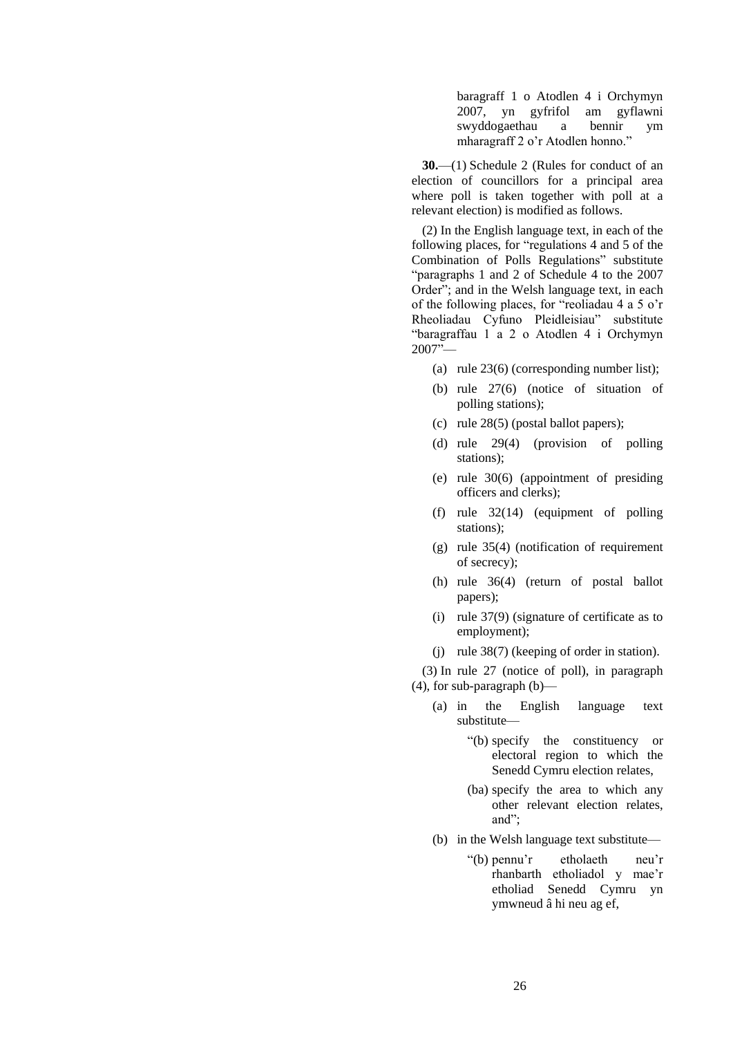baragraff 1 o Atodlen 4 i Orchymyn 2007, yn gyfrifol am gyflawni swyddogaethau a bennir ym mharagraff 2 o'r Atodlen honno."

**30.**—(1) Schedule 2 (Rules for conduct of an election of councillors for a principal area where poll is taken together with poll at a relevant election) is modified as follows.

(2) In the English language text, in each of the following places, for "regulations 4 and 5 of the Combination of Polls Regulations" substitute "paragraphs 1 and 2 of Schedule 4 to the 2007 Order"; and in the Welsh language text, in each of the following places, for "reoliadau 4 a 5 o'r Rheoliadau Cyfuno Pleidleisiau" substitute "baragraffau 1 a 2 o Atodlen 4 i Orchymyn 2007"—

- (a) rule 23(6) (corresponding number list);
- (b) rule 27(6) (notice of situation of polling stations);
- (c) rule 28(5) (postal ballot papers);
- (d) rule 29(4) (provision of polling stations);
- (e) rule 30(6) (appointment of presiding officers and clerks);
- (f) rule 32(14) (equipment of polling stations);
- (g) rule 35(4) (notification of requirement of secrecy);
- (h) rule 36(4) (return of postal ballot papers);
- (i) rule 37(9) (signature of certificate as to employment);
- (j) rule 38(7) (keeping of order in station).

(3) In rule 27 (notice of poll), in paragraph (4), for sub-paragraph (b)—

- (a) in the English language text substitute—
	- "(b) specify the constituency or electoral region to which the Senedd Cymru election relates,
	- (ba) specify the area to which any other relevant election relates, and";
- (b) in the Welsh language text substitute—
	- "(b) pennu'r etholaeth neu'r rhanbarth etholiadol y mae'r etholiad Senedd Cymru yn ymwneud â hi neu ag ef,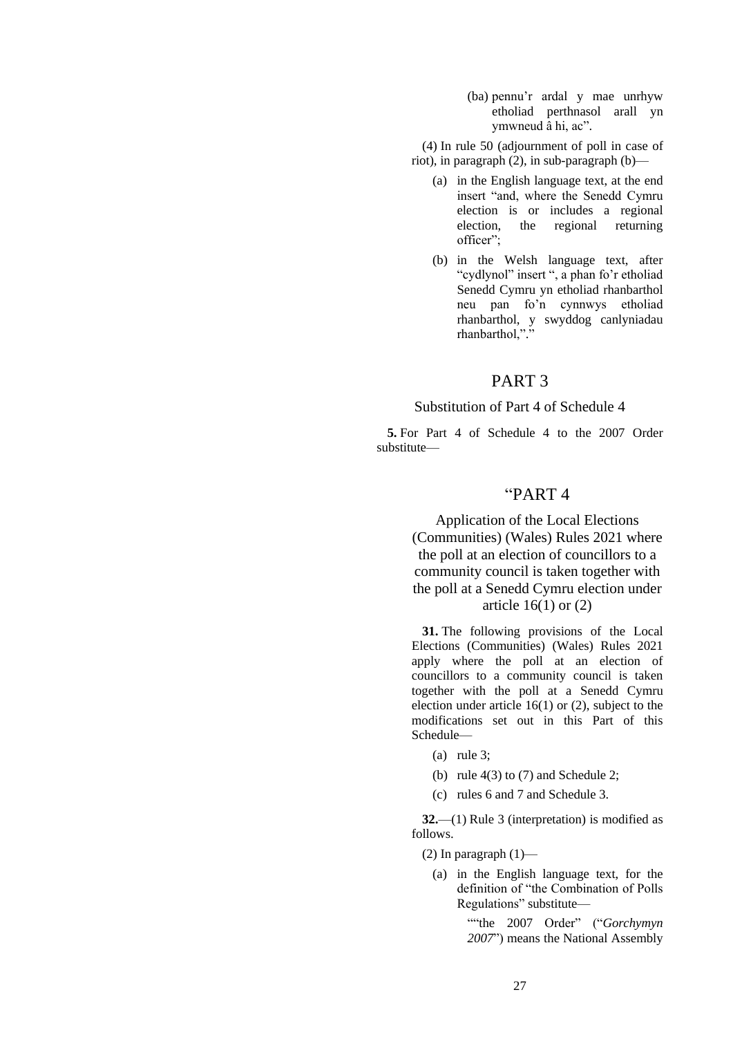(ba) pennu'r ardal y mae unrhyw etholiad perthnasol arall yn ymwneud â hi, ac".

(4) In rule 50 (adjournment of poll in case of riot), in paragraph (2), in sub-paragraph (b)—

- (a) in the English language text, at the end insert "and, where the Senedd Cymru election is or includes a regional election, the regional returning officer";
- (b) in the Welsh language text, after "cydlynol" insert ", a phan fo'r etholiad Senedd Cymru yn etholiad rhanbarthol neu pan fo'n cynnwys etholiad rhanbarthol, y swyddog canlyniadau rhanbarthol,"."

## PART 3

Substitution of Part 4 of Schedule 4

**5.** For Part 4 of Schedule 4 to the 2007 Order substitute—

# "PART 4

Application of the Local Elections (Communities) (Wales) Rules 2021 where the poll at an election of councillors to a community council is taken together with the poll at a Senedd Cymru election under article  $16(1)$  or  $(2)$ 

**31.** The following provisions of the Local Elections (Communities) (Wales) Rules 2021 apply where the poll at an election of councillors to a community council is taken together with the poll at a Senedd Cymru election under article 16(1) or (2), subject to the modifications set out in this Part of this Schedule—

- (a) rule 3;
- (b) rule  $4(3)$  to  $(7)$  and Schedule 2;
- (c) rules 6 and 7 and Schedule 3.

**32.**—(1) Rule 3 (interpretation) is modified as follows.

(2) In paragraph  $(1)$ —

(a) in the English language text, for the definition of "the Combination of Polls Regulations" substitute—

> ""the 2007 Order" ("*Gorchymyn 2007*") means the National Assembly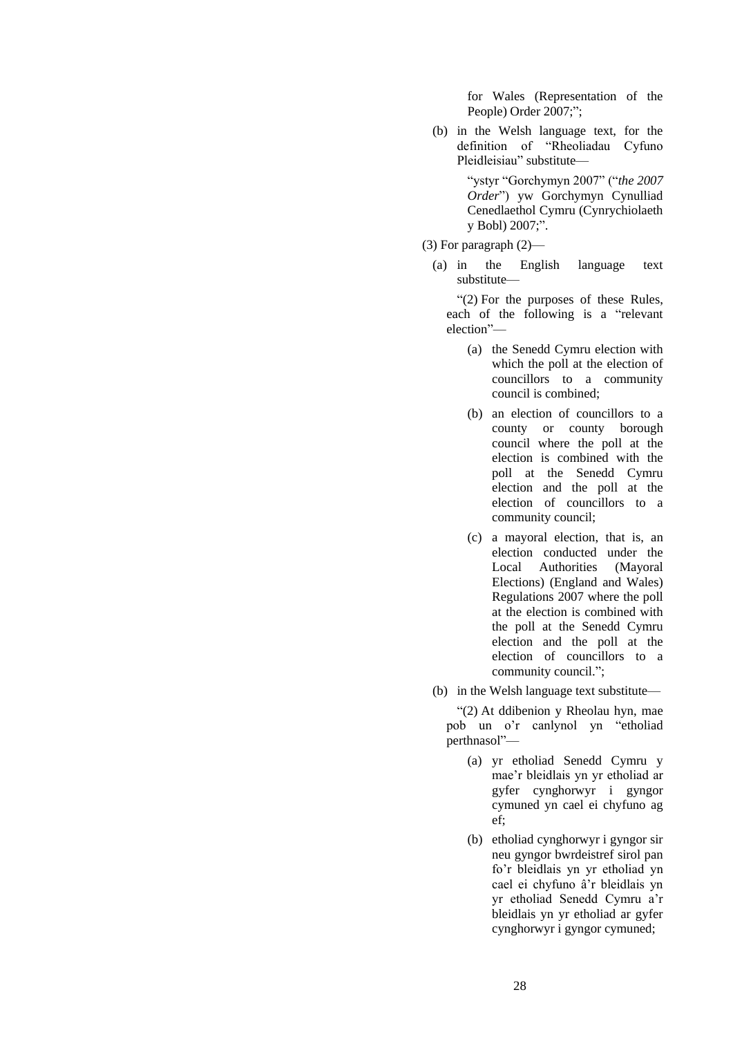for Wales (Representation of the People) Order 2007;";

(b) in the Welsh language text, for the definition of "Rheoliadau Cyfuno Pleidleisiau" substitute—

> "ystyr "Gorchymyn 2007" ("*the 2007 Order*") yw Gorchymyn Cynulliad Cenedlaethol Cymru (Cynrychiolaeth y Bobl) 2007;".

- (3) For paragraph (2)—
	- (a) in the English language text substitute—

"(2) For the purposes of these Rules, each of the following is a "relevant election"—

- (a) the Senedd Cymru election with which the poll at the election of councillors to a community council is combined;
- (b) an election of councillors to a county or county borough council where the poll at the election is combined with the poll at the Senedd Cymru election and the poll at the election of councillors to a community council;
- (c) a mayoral election, that is, an election conducted under the Local Authorities (Mayoral Elections) (England and Wales) Regulations 2007 where the poll at the election is combined with the poll at the Senedd Cymru election and the poll at the election of councillors to a community council.";
- (b) in the Welsh language text substitute—

"(2) At ddibenion y Rheolau hyn, mae pob un o'r canlynol yn "etholiad perthnasol"—

- (a) yr etholiad Senedd Cymru y mae'r bleidlais yn yr etholiad ar gyfer cynghorwyr i gyngor cymuned yn cael ei chyfuno ag ef;
- (b) etholiad cynghorwyr i gyngor sir neu gyngor bwrdeistref sirol pan fo'r bleidlais yn yr etholiad yn cael ei chyfuno â'r bleidlais yn yr etholiad Senedd Cymru a'r bleidlais yn yr etholiad ar gyfer cynghorwyr i gyngor cymuned;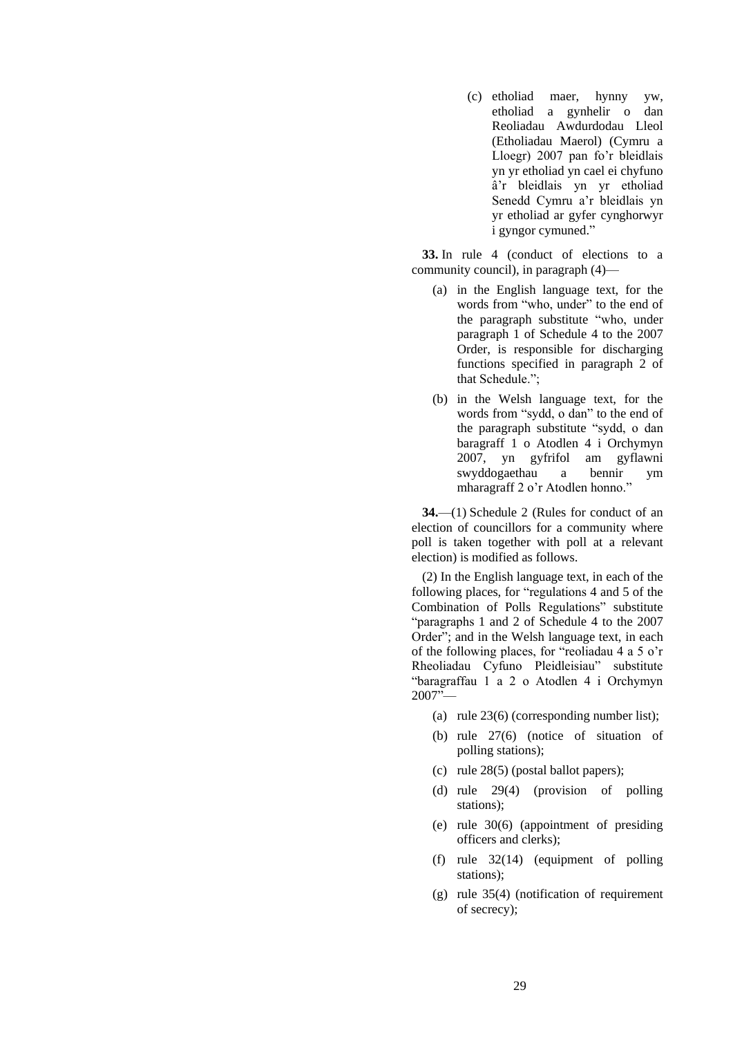(c) etholiad maer, hynny yw, etholiad a gynhelir o dan Reoliadau Awdurdodau Lleol (Etholiadau Maerol) (Cymru a Lloegr) 2007 pan fo'r bleidlais yn yr etholiad yn cael ei chyfuno â'r bleidlais yn yr etholiad Senedd Cymru a'r bleidlais yn yr etholiad ar gyfer cynghorwyr i gyngor cymuned."

**33.** In rule 4 (conduct of elections to a community council), in paragraph (4)—

- (a) in the English language text, for the words from "who, under" to the end of the paragraph substitute "who, under paragraph 1 of Schedule 4 to the 2007 Order, is responsible for discharging functions specified in paragraph 2 of that Schedule.";
- (b) in the Welsh language text, for the words from "sydd, o dan" to the end of the paragraph substitute "sydd, o dan baragraff 1 o Atodlen 4 i Orchymyn 2007, yn gyfrifol am gyflawni swyddogaethau a bennir ym mharagraff 2 o'r Atodlen honno."

**34.**—(1) Schedule 2 (Rules for conduct of an election of councillors for a community where poll is taken together with poll at a relevant election) is modified as follows.

(2) In the English language text, in each of the following places, for "regulations 4 and 5 of the Combination of Polls Regulations" substitute "paragraphs 1 and 2 of Schedule 4 to the 2007 Order"; and in the Welsh language text, in each of the following places, for "reoliadau 4 a 5 o'r Rheoliadau Cyfuno Pleidleisiau" substitute "baragraffau 1 a 2 o Atodlen 4 i Orchymyn  $2007$ <sup> $\frac{1}{2}$ </sup>

- (a) rule 23(6) (corresponding number list);
- (b) rule 27(6) (notice of situation of polling stations);
- (c) rule 28(5) (postal ballot papers);
- (d) rule 29(4) (provision of polling stations);
- (e) rule 30(6) (appointment of presiding officers and clerks);
- (f) rule 32(14) (equipment of polling stations);
- (g) rule 35(4) (notification of requirement of secrecy);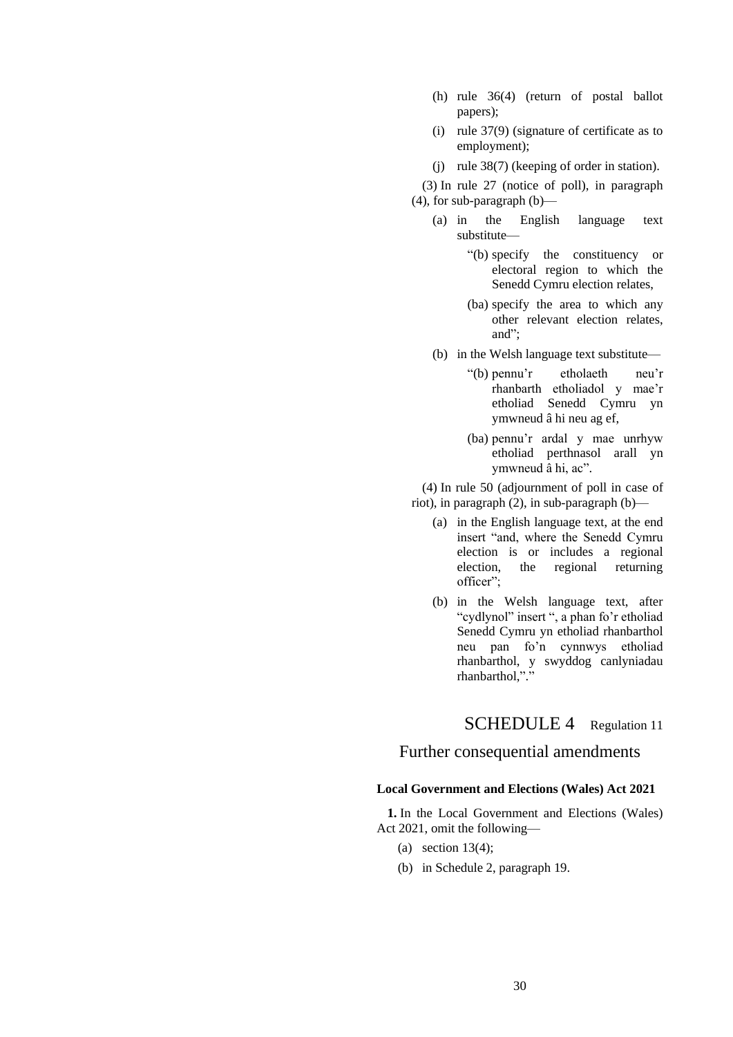- (h) rule 36(4) (return of postal ballot papers);
- (i) rule 37(9) (signature of certificate as to employment);
- (j) rule 38(7) (keeping of order in station).

(3) In rule 27 (notice of poll), in paragraph (4), for sub-paragraph (b)—

- (a) in the English language text substitute—
	- "(b) specify the constituency or electoral region to which the Senedd Cymru election relates,
	- (ba) specify the area to which any other relevant election relates, and";
- (b) in the Welsh language text substitute—
	- "(b) pennu'r etholaeth neu'r rhanbarth etholiadol y mae'r etholiad Senedd Cymru yn ymwneud â hi neu ag ef,
	- (ba) pennu'r ardal y mae unrhyw etholiad perthnasol arall yn ymwneud â hi, ac".

(4) In rule 50 (adjournment of poll in case of riot), in paragraph (2), in sub-paragraph (b)—

- (a) in the English language text, at the end insert "and, where the Senedd Cymru election is or includes a regional election, the regional returning officer";
- (b) in the Welsh language text, after "cydlynol" insert ", a phan fo'r etholiad Senedd Cymru yn etholiad rhanbarthol neu pan fo'n cynnwys etholiad rhanbarthol, y swyddog canlyniadau rhanbarthol,"."

SCHEDULE 4 Regulation 11

## Further consequential amendments

### **Local Government and Elections (Wales) Act 2021**

**1.** In the Local Government and Elections (Wales) Act 2021, omit the following—

- (a) section 13(4);
- (b) in Schedule 2, paragraph 19.